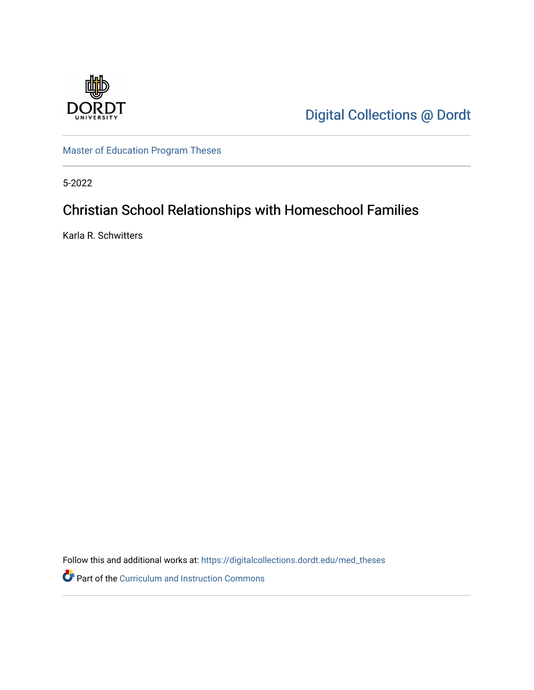

[Digital Collections @ Dordt](https://digitalcollections.dordt.edu/) 

[Master of Education Program Theses](https://digitalcollections.dordt.edu/med_theses) 

5-2022

# Christian School Relationships with Homeschool Families

Karla R. Schwitters

Follow this and additional works at: [https://digitalcollections.dordt.edu/med\\_theses](https://digitalcollections.dordt.edu/med_theses?utm_source=digitalcollections.dordt.edu%2Fmed_theses%2F163&utm_medium=PDF&utm_campaign=PDFCoverPages)

Part of the [Curriculum and Instruction Commons](http://network.bepress.com/hgg/discipline/786?utm_source=digitalcollections.dordt.edu%2Fmed_theses%2F163&utm_medium=PDF&utm_campaign=PDFCoverPages)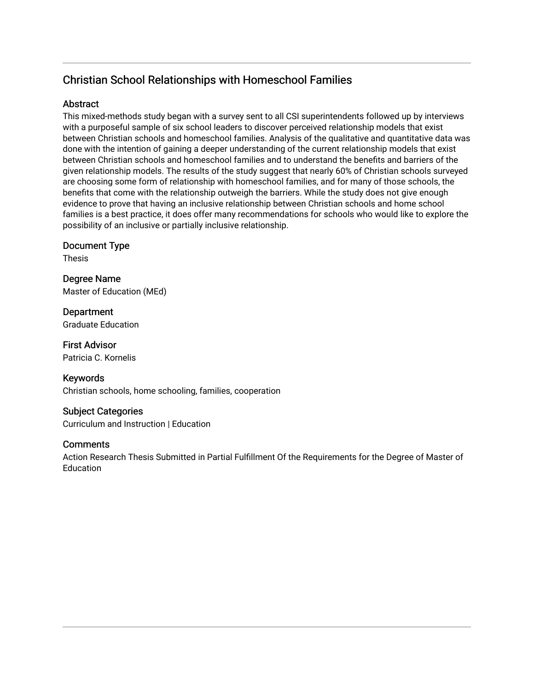## Christian School Relationships with Homeschool Families

## **Abstract**

This mixed-methods study began with a survey sent to all CSI superintendents followed up by interviews with a purposeful sample of six school leaders to discover perceived relationship models that exist between Christian schools and homeschool families. Analysis of the qualitative and quantitative data was done with the intention of gaining a deeper understanding of the current relationship models that exist between Christian schools and homeschool families and to understand the benefits and barriers of the given relationship models. The results of the study suggest that nearly 60% of Christian schools surveyed are choosing some form of relationship with homeschool families, and for many of those schools, the benefits that come with the relationship outweigh the barriers. While the study does not give enough evidence to prove that having an inclusive relationship between Christian schools and home school families is a best practice, it does offer many recommendations for schools who would like to explore the possibility of an inclusive or partially inclusive relationship.

Document Type

Thesis

Degree Name Master of Education (MEd)

Department Graduate Education

First Advisor Patricia C. Kornelis

Keywords Christian schools, home schooling, families, cooperation

Subject Categories Curriculum and Instruction | Education

## **Comments**

Action Research Thesis Submitted in Partial Fulfillment Of the Requirements for the Degree of Master of **Education**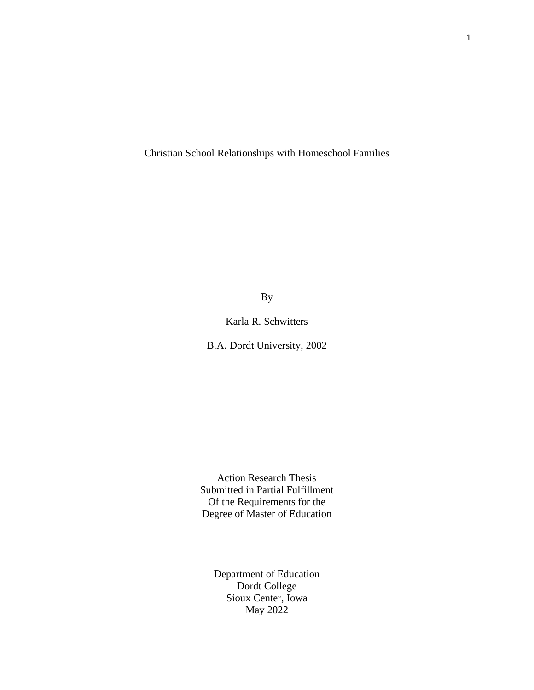Christian School Relationships with Homeschool Families

By

Karla R. Schwitters

B.A. Dordt University, 2002

Action Research Thesis Submitted in Partial Fulfillment Of the Requirements for the Degree of Master of Education

> Department of Education Dordt College Sioux Center, Iowa May 2022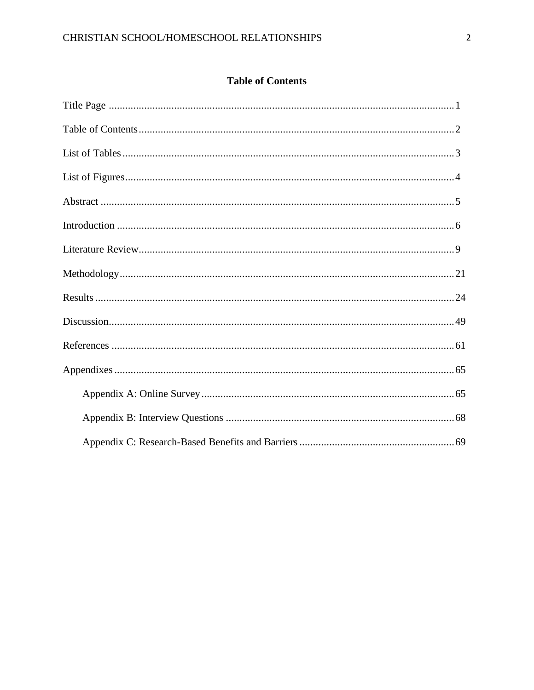## **Table of Contents**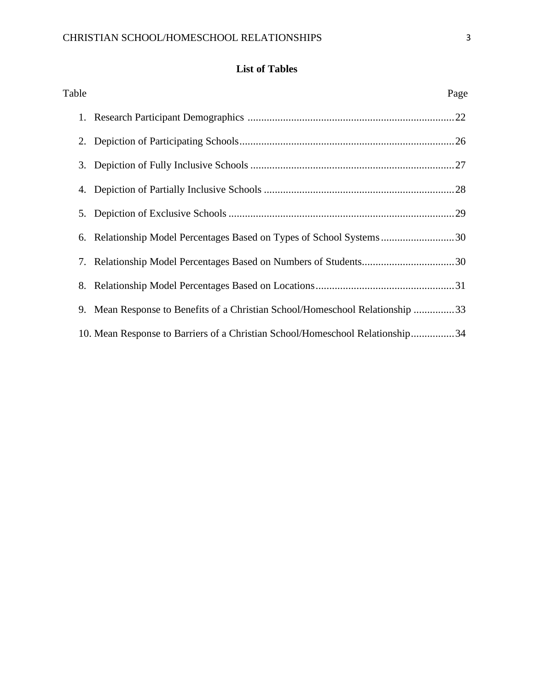## **List of Tables**

| Table | Page                                                                          |
|-------|-------------------------------------------------------------------------------|
|       |                                                                               |
|       |                                                                               |
|       |                                                                               |
|       |                                                                               |
|       |                                                                               |
|       |                                                                               |
|       |                                                                               |
|       |                                                                               |
|       | 9. Mean Response to Benefits of a Christian School/Homeschool Relationship 33 |
|       | 10. Mean Response to Barriers of a Christian School/Homeschool Relationship34 |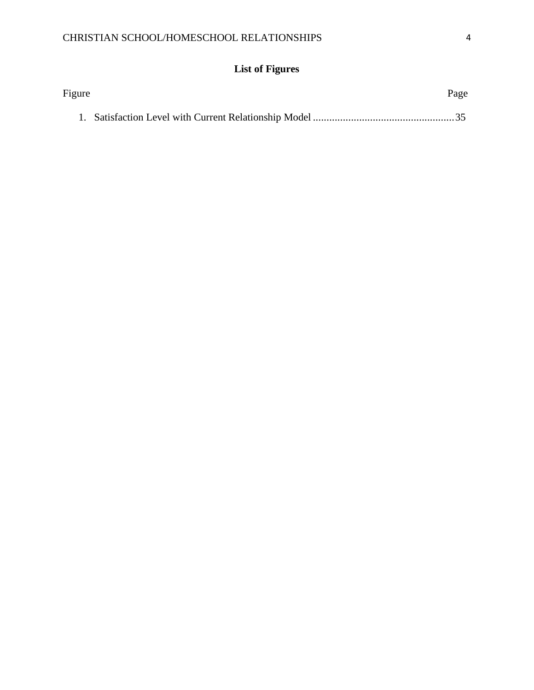# **List of Figures**

| Figure | Page |
|--------|------|
|        |      |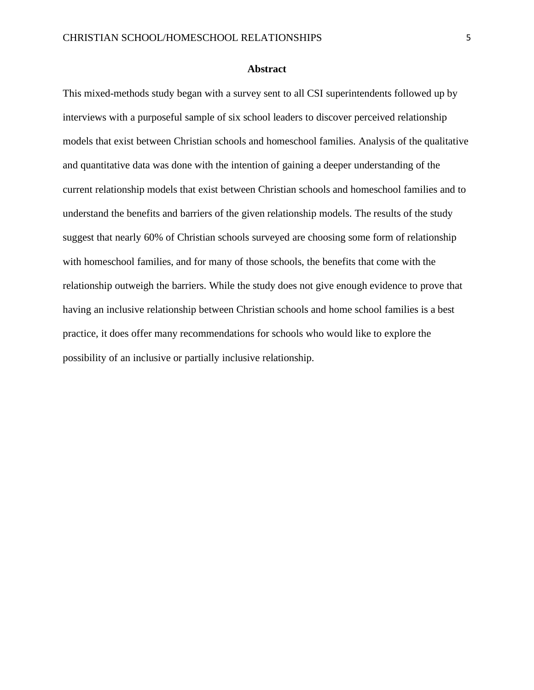#### **Abstract**

This mixed-methods study began with a survey sent to all CSI superintendents followed up by interviews with a purposeful sample of six school leaders to discover perceived relationship models that exist between Christian schools and homeschool families. Analysis of the qualitative and quantitative data was done with the intention of gaining a deeper understanding of the current relationship models that exist between Christian schools and homeschool families and to understand the benefits and barriers of the given relationship models. The results of the study suggest that nearly 60% of Christian schools surveyed are choosing some form of relationship with homeschool families, and for many of those schools, the benefits that come with the relationship outweigh the barriers. While the study does not give enough evidence to prove that having an inclusive relationship between Christian schools and home school families is a best practice, it does offer many recommendations for schools who would like to explore the possibility of an inclusive or partially inclusive relationship.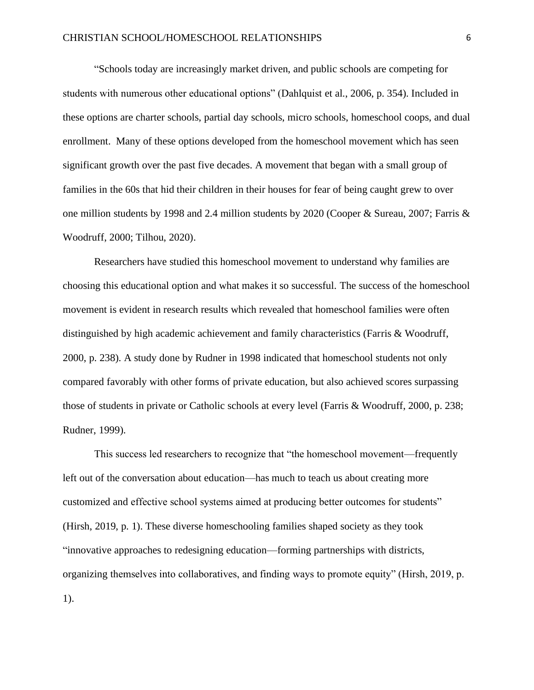"Schools today are increasingly market driven, and public schools are competing for students with numerous other educational options" (Dahlquist et al., 2006, p. 354). Included in these options are charter schools, partial day schools, micro schools, homeschool coops, and dual enrollment. Many of these options developed from the homeschool movement which has seen significant growth over the past five decades. A movement that began with a small group of families in the 60s that hid their children in their houses for fear of being caught grew to over one million students by 1998 and 2.4 million students by 2020 (Cooper & Sureau, 2007; Farris & Woodruff, 2000; Tilhou, 2020).

Researchers have studied this homeschool movement to understand why families are choosing this educational option and what makes it so successful. The success of the homeschool movement is evident in research results which revealed that homeschool families were often distinguished by high academic achievement and family characteristics (Farris & Woodruff, 2000, p. 238). A study done by Rudner in 1998 indicated that homeschool students not only compared favorably with other forms of private education, but also achieved scores surpassing those of students in private or Catholic schools at every level (Farris & Woodruff, 2000, p. 238; Rudner, 1999).

This success led researchers to recognize that "the homeschool movement—frequently left out of the conversation about education—has much to teach us about creating more customized and effective school systems aimed at producing better outcomes for students" (Hirsh, 2019, p. 1). These diverse homeschooling families shaped society as they took "innovative approaches to redesigning education—forming partnerships with districts, organizing themselves into collaboratives, and finding ways to promote equity" (Hirsh, 2019, p. 1).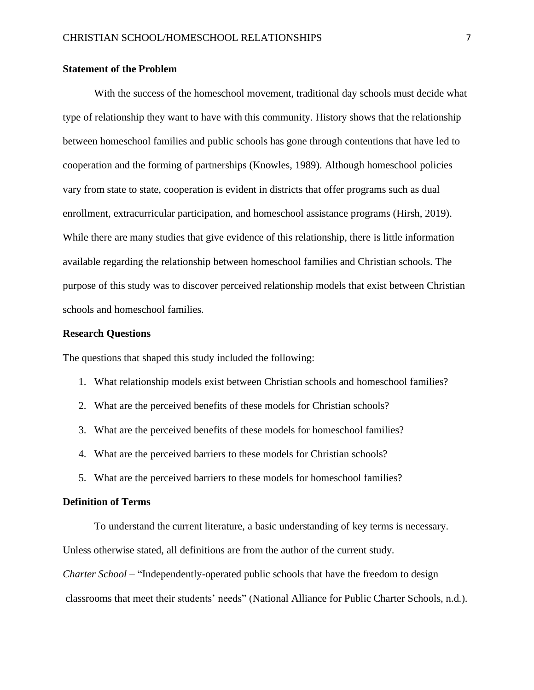#### **Statement of the Problem**

With the success of the homeschool movement, traditional day schools must decide what type of relationship they want to have with this community. History shows that the relationship between homeschool families and public schools has gone through contentions that have led to cooperation and the forming of partnerships (Knowles, 1989). Although homeschool policies vary from state to state, cooperation is evident in districts that offer programs such as dual enrollment, extracurricular participation, and homeschool assistance programs (Hirsh, 2019). While there are many studies that give evidence of this relationship, there is little information available regarding the relationship between homeschool families and Christian schools. The purpose of this study was to discover perceived relationship models that exist between Christian schools and homeschool families.

#### **Research Questions**

The questions that shaped this study included the following:

- 1. What relationship models exist between Christian schools and homeschool families?
- 2. What are the perceived benefits of these models for Christian schools?
- 3. What are the perceived benefits of these models for homeschool families?
- 4. What are the perceived barriers to these models for Christian schools?
- 5. What are the perceived barriers to these models for homeschool families?

#### **Definition of Terms**

To understand the current literature, a basic understanding of key terms is necessary. Unless otherwise stated, all definitions are from the author of the current study. *Charter School* – "Independently-operated public schools that have the freedom to design classrooms that meet their students' needs" (National Alliance for Public Charter Schools, n.d.).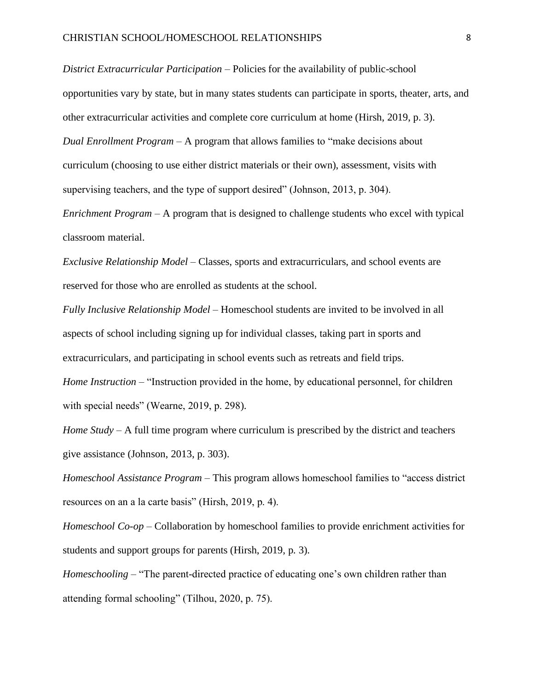*District Extracurricular Participation* – Policies for the availability of public-school opportunities vary by state, but in many states students can participate in sports, theater, arts, and other extracurricular activities and complete core curriculum at home (Hirsh, 2019, p. 3). *Dual Enrollment Program* – A program that allows families to "make decisions about curriculum (choosing to use either district materials or their own), assessment, visits with supervising teachers, and the type of support desired" (Johnson, 2013, p. 304).

*Enrichment Program* – A program that is designed to challenge students who excel with typical classroom material.

*Exclusive Relationship Model* – Classes, sports and extracurriculars, and school events are reserved for those who are enrolled as students at the school.

*Fully Inclusive Relationship Model* – Homeschool students are invited to be involved in all aspects of school including signing up for individual classes, taking part in sports and extracurriculars, and participating in school events such as retreats and field trips.

*Home Instruction* – "Instruction provided in the home, by educational personnel, for children with special needs" (Wearne, 2019, p. 298).

*Home Study* – A full time program where curriculum is prescribed by the district and teachers give assistance (Johnson, 2013, p. 303).

*Homeschool Assistance Program* – This program allows homeschool families to "access district resources on an a la carte basis" (Hirsh, 2019, p. 4).

*Homeschool Co-op* – Collaboration by homeschool families to provide enrichment activities for students and support groups for parents (Hirsh, 2019, p. 3).

*Homeschooling* – "The parent-directed practice of educating one's own children rather than attending formal schooling" (Tilhou, 2020, p. 75).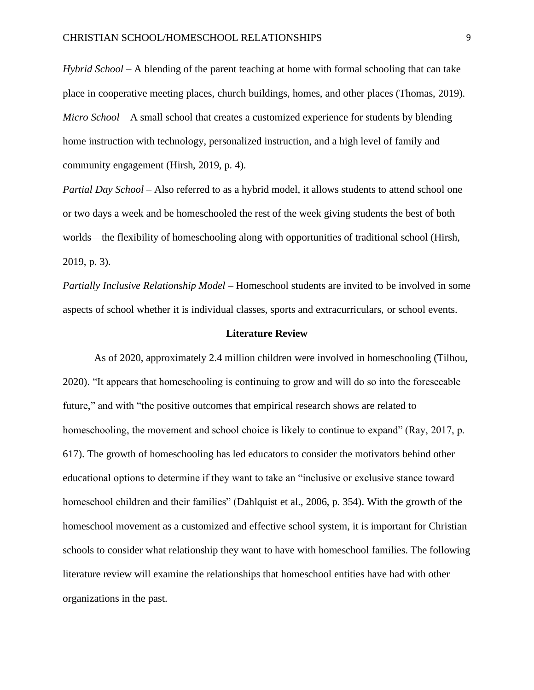*Hybrid School* – A blending of the parent teaching at home with formal schooling that can take place in cooperative meeting places, church buildings, homes, and other places (Thomas, 2019). *Micro School* – A small school that creates a customized experience for students by blending home instruction with technology, personalized instruction, and a high level of family and community engagement (Hirsh, 2019, p. 4).

*Partial Day School* – Also referred to as a hybrid model, it allows students to attend school one or two days a week and be homeschooled the rest of the week giving students the best of both worlds—the flexibility of homeschooling along with opportunities of traditional school (Hirsh, 2019, p. 3).

*Partially Inclusive Relationship Model* – Homeschool students are invited to be involved in some aspects of school whether it is individual classes, sports and extracurriculars, or school events.

#### **Literature Review**

As of 2020, approximately 2.4 million children were involved in homeschooling (Tilhou, 2020). "It appears that homeschooling is continuing to grow and will do so into the foreseeable future," and with "the positive outcomes that empirical research shows are related to homeschooling, the movement and school choice is likely to continue to expand" (Ray, 2017, p. 617). The growth of homeschooling has led educators to consider the motivators behind other educational options to determine if they want to take an "inclusive or exclusive stance toward homeschool children and their families" (Dahlquist et al., 2006, p. 354). With the growth of the homeschool movement as a customized and effective school system, it is important for Christian schools to consider what relationship they want to have with homeschool families. The following literature review will examine the relationships that homeschool entities have had with other organizations in the past.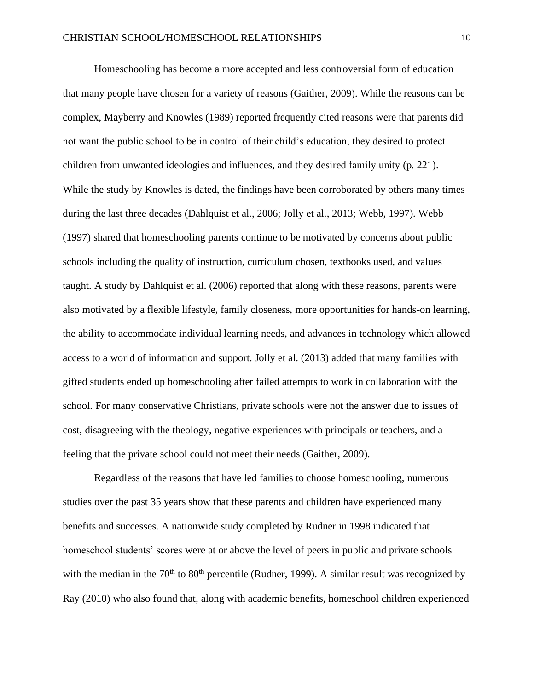Homeschooling has become a more accepted and less controversial form of education that many people have chosen for a variety of reasons (Gaither, 2009). While the reasons can be complex, Mayberry and Knowles (1989) reported frequently cited reasons were that parents did not want the public school to be in control of their child's education, they desired to protect children from unwanted ideologies and influences, and they desired family unity (p. 221). While the study by Knowles is dated, the findings have been corroborated by others many times during the last three decades (Dahlquist et al., 2006; Jolly et al., 2013; Webb, 1997). Webb (1997) shared that homeschooling parents continue to be motivated by concerns about public schools including the quality of instruction, curriculum chosen, textbooks used, and values taught. A study by Dahlquist et al. (2006) reported that along with these reasons, parents were also motivated by a flexible lifestyle, family closeness, more opportunities for hands-on learning, the ability to accommodate individual learning needs, and advances in technology which allowed access to a world of information and support. Jolly et al. (2013) added that many families with gifted students ended up homeschooling after failed attempts to work in collaboration with the school. For many conservative Christians, private schools were not the answer due to issues of cost, disagreeing with the theology, negative experiences with principals or teachers, and a feeling that the private school could not meet their needs (Gaither, 2009).

Regardless of the reasons that have led families to choose homeschooling, numerous studies over the past 35 years show that these parents and children have experienced many benefits and successes. A nationwide study completed by Rudner in 1998 indicated that homeschool students' scores were at or above the level of peers in public and private schools with the median in the  $70<sup>th</sup>$  to  $80<sup>th</sup>$  percentile (Rudner, 1999). A similar result was recognized by Ray (2010) who also found that, along with academic benefits, homeschool children experienced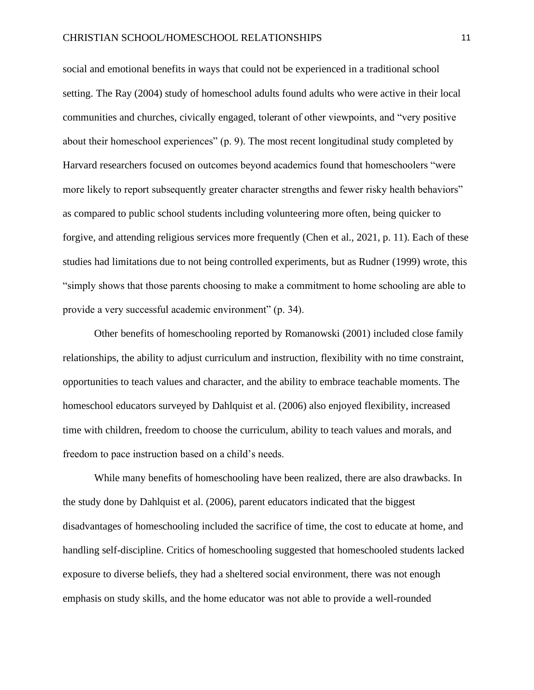social and emotional benefits in ways that could not be experienced in a traditional school setting. The Ray (2004) study of homeschool adults found adults who were active in their local communities and churches, civically engaged, tolerant of other viewpoints, and "very positive about their homeschool experiences" (p. 9). The most recent longitudinal study completed by Harvard researchers focused on outcomes beyond academics found that homeschoolers "were more likely to report subsequently greater character strengths and fewer risky health behaviors" as compared to public school students including volunteering more often, being quicker to forgive, and attending religious services more frequently (Chen et al., 2021, p. 11). Each of these studies had limitations due to not being controlled experiments, but as Rudner (1999) wrote, this "simply shows that those parents choosing to make a commitment to home schooling are able to provide a very successful academic environment" (p. 34).

Other benefits of homeschooling reported by Romanowski (2001) included close family relationships, the ability to adjust curriculum and instruction, flexibility with no time constraint, opportunities to teach values and character, and the ability to embrace teachable moments. The homeschool educators surveyed by Dahlquist et al. (2006) also enjoyed flexibility, increased time with children, freedom to choose the curriculum, ability to teach values and morals, and freedom to pace instruction based on a child's needs.

While many benefits of homeschooling have been realized, there are also drawbacks. In the study done by Dahlquist et al. (2006), parent educators indicated that the biggest disadvantages of homeschooling included the sacrifice of time, the cost to educate at home, and handling self-discipline. Critics of homeschooling suggested that homeschooled students lacked exposure to diverse beliefs, they had a sheltered social environment, there was not enough emphasis on study skills, and the home educator was not able to provide a well-rounded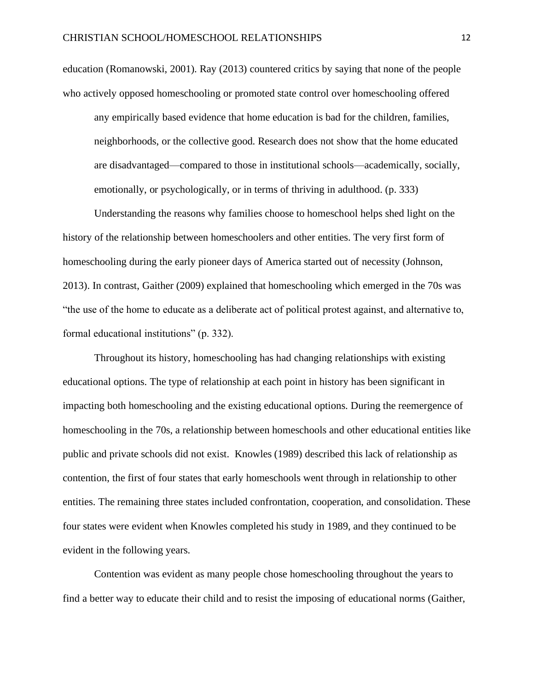education (Romanowski, 2001). Ray (2013) countered critics by saying that none of the people who actively opposed homeschooling or promoted state control over homeschooling offered

any empirically based evidence that home education is bad for the children, families, neighborhoods, or the collective good. Research does not show that the home educated are disadvantaged—compared to those in institutional schools—academically, socially, emotionally, or psychologically, or in terms of thriving in adulthood. (p. 333)

Understanding the reasons why families choose to homeschool helps shed light on the history of the relationship between homeschoolers and other entities. The very first form of homeschooling during the early pioneer days of America started out of necessity (Johnson, 2013). In contrast, Gaither (2009) explained that homeschooling which emerged in the 70s was "the use of the home to educate as a deliberate act of political protest against, and alternative to, formal educational institutions" (p. 332).

Throughout its history, homeschooling has had changing relationships with existing educational options. The type of relationship at each point in history has been significant in impacting both homeschooling and the existing educational options. During the reemergence of homeschooling in the 70s, a relationship between homeschools and other educational entities like public and private schools did not exist. Knowles (1989) described this lack of relationship as contention, the first of four states that early homeschools went through in relationship to other entities. The remaining three states included confrontation, cooperation, and consolidation. These four states were evident when Knowles completed his study in 1989, and they continued to be evident in the following years.

Contention was evident as many people chose homeschooling throughout the years to find a better way to educate their child and to resist the imposing of educational norms (Gaither,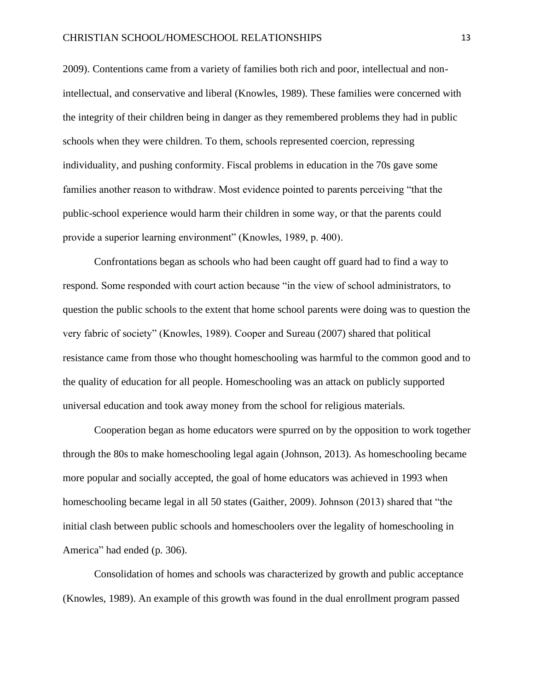2009). Contentions came from a variety of families both rich and poor, intellectual and nonintellectual, and conservative and liberal (Knowles, 1989). These families were concerned with the integrity of their children being in danger as they remembered problems they had in public schools when they were children. To them, schools represented coercion, repressing individuality, and pushing conformity. Fiscal problems in education in the 70s gave some families another reason to withdraw. Most evidence pointed to parents perceiving "that the public-school experience would harm their children in some way, or that the parents could provide a superior learning environment" (Knowles, 1989, p. 400).

Confrontations began as schools who had been caught off guard had to find a way to respond. Some responded with court action because "in the view of school administrators, to question the public schools to the extent that home school parents were doing was to question the very fabric of society" (Knowles, 1989). Cooper and Sureau (2007) shared that political resistance came from those who thought homeschooling was harmful to the common good and to the quality of education for all people. Homeschooling was an attack on publicly supported universal education and took away money from the school for religious materials.

Cooperation began as home educators were spurred on by the opposition to work together through the 80s to make homeschooling legal again (Johnson, 2013). As homeschooling became more popular and socially accepted, the goal of home educators was achieved in 1993 when homeschooling became legal in all 50 states (Gaither, 2009). Johnson (2013) shared that "the initial clash between public schools and homeschoolers over the legality of homeschooling in America" had ended (p. 306).

Consolidation of homes and schools was characterized by growth and public acceptance (Knowles, 1989). An example of this growth was found in the dual enrollment program passed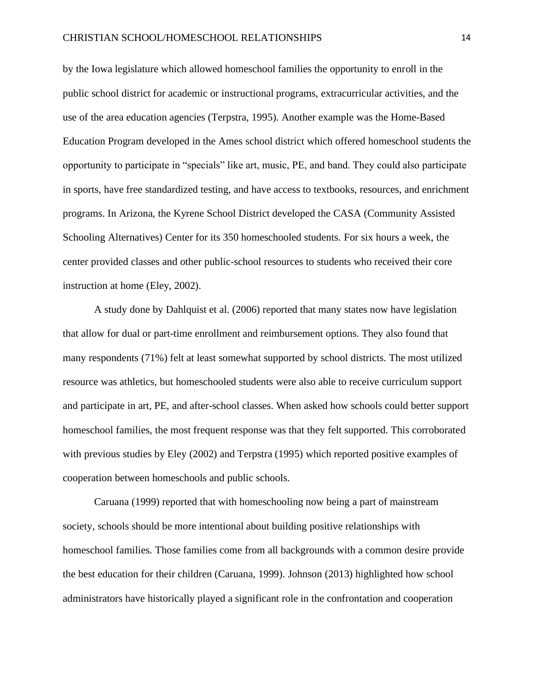by the Iowa legislature which allowed homeschool families the opportunity to enroll in the public school district for academic or instructional programs, extracurricular activities, and the use of the area education agencies (Terpstra, 1995). Another example was the Home-Based Education Program developed in the Ames school district which offered homeschool students the opportunity to participate in "specials" like art, music, PE, and band. They could also participate in sports, have free standardized testing, and have access to textbooks, resources, and enrichment programs. In Arizona, the Kyrene School District developed the CASA (Community Assisted Schooling Alternatives) Center for its 350 homeschooled students. For six hours a week, the center provided classes and other public-school resources to students who received their core instruction at home (Eley, 2002).

A study done by Dahlquist et al. (2006) reported that many states now have legislation that allow for dual or part-time enrollment and reimbursement options. They also found that many respondents (71%) felt at least somewhat supported by school districts. The most utilized resource was athletics, but homeschooled students were also able to receive curriculum support and participate in art, PE, and after-school classes. When asked how schools could better support homeschool families, the most frequent response was that they felt supported. This corroborated with previous studies by Eley (2002) and Terpstra (1995) which reported positive examples of cooperation between homeschools and public schools.

Caruana (1999) reported that with homeschooling now being a part of mainstream society, schools should be more intentional about building positive relationships with homeschool families. Those families come from all backgrounds with a common desire provide the best education for their children (Caruana, 1999). Johnson (2013) highlighted how school administrators have historically played a significant role in the confrontation and cooperation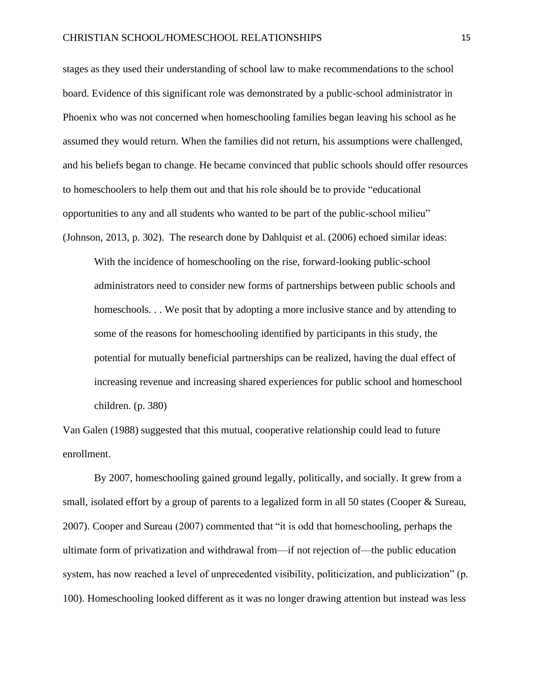stages as they used their understanding of school law to make recommendations to the school board. Evidence of this significant role was demonstrated by a public-school administrator in Phoenix who was not concerned when homeschooling families began leaving his school as he assumed they would return. When the families did not return, his assumptions were challenged, and his beliefs began to change. He became convinced that public schools should offer resources to homeschoolers to help them out and that his role should be to provide "educational opportunities to any and all students who wanted to be part of the public-school milieu" (Johnson, 2013, p. 302). The research done by Dahlquist et al. (2006) echoed similar ideas:

With the incidence of homeschooling on the rise, forward-looking public-school administrators need to consider new forms of partnerships between public schools and homeschools. . . We posit that by adopting a more inclusive stance and by attending to some of the reasons for homeschooling identified by participants in this study, the potential for mutually beneficial partnerships can be realized, having the dual effect of increasing revenue and increasing shared experiences for public school and homeschool children. (p. 380)

Van Galen (1988) suggested that this mutual, cooperative relationship could lead to future enrollment.

By 2007, homeschooling gained ground legally, politically, and socially. It grew from a small, isolated effort by a group of parents to a legalized form in all 50 states (Cooper & Sureau, 2007). Cooper and Sureau (2007) commented that "it is odd that homeschooling, perhaps the ultimate form of privatization and withdrawal from—if not rejection of—the public education system, has now reached a level of unprecedented visibility, politicization, and publicization" (p. 100). Homeschooling looked different as it was no longer drawing attention but instead was less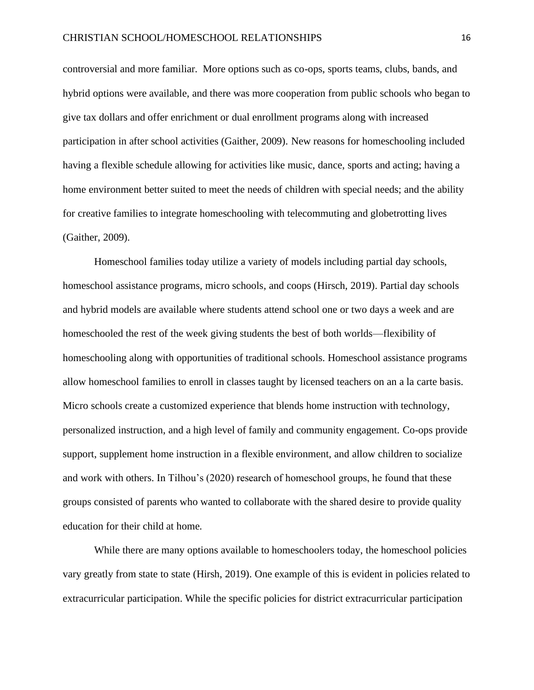controversial and more familiar. More options such as co-ops, sports teams, clubs, bands, and hybrid options were available, and there was more cooperation from public schools who began to give tax dollars and offer enrichment or dual enrollment programs along with increased participation in after school activities (Gaither, 2009). New reasons for homeschooling included having a flexible schedule allowing for activities like music, dance, sports and acting; having a home environment better suited to meet the needs of children with special needs; and the ability for creative families to integrate homeschooling with telecommuting and globetrotting lives (Gaither, 2009).

Homeschool families today utilize a variety of models including partial day schools, homeschool assistance programs, micro schools, and coops (Hirsch, 2019). Partial day schools and hybrid models are available where students attend school one or two days a week and are homeschooled the rest of the week giving students the best of both worlds—flexibility of homeschooling along with opportunities of traditional schools. Homeschool assistance programs allow homeschool families to enroll in classes taught by licensed teachers on an a la carte basis. Micro schools create a customized experience that blends home instruction with technology, personalized instruction, and a high level of family and community engagement. Co-ops provide support, supplement home instruction in a flexible environment, and allow children to socialize and work with others. In Tilhou's (2020) research of homeschool groups, he found that these groups consisted of parents who wanted to collaborate with the shared desire to provide quality education for their child at home.

While there are many options available to homeschoolers today, the homeschool policies vary greatly from state to state (Hirsh, 2019). One example of this is evident in policies related to extracurricular participation. While the specific policies for district extracurricular participation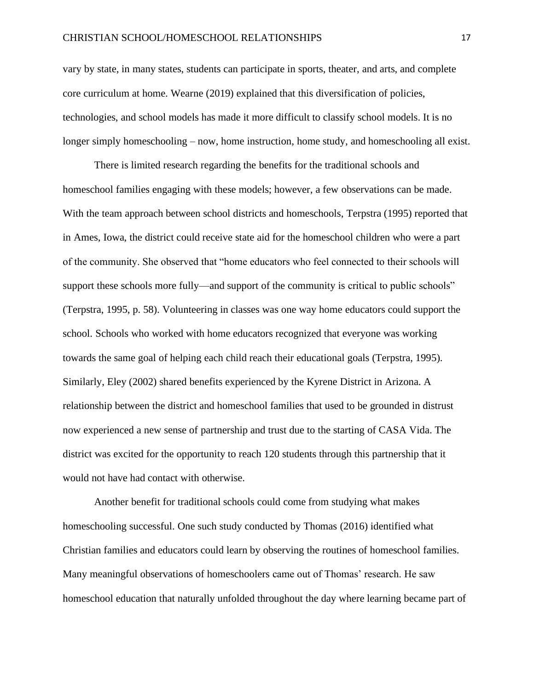vary by state, in many states, students can participate in sports, theater, and arts, and complete core curriculum at home. Wearne (2019) explained that this diversification of policies, technologies, and school models has made it more difficult to classify school models. It is no longer simply homeschooling – now, home instruction, home study, and homeschooling all exist.

There is limited research regarding the benefits for the traditional schools and homeschool families engaging with these models; however, a few observations can be made. With the team approach between school districts and homeschools, Terpstra (1995) reported that in Ames, Iowa, the district could receive state aid for the homeschool children who were a part of the community. She observed that "home educators who feel connected to their schools will support these schools more fully—and support of the community is critical to public schools" (Terpstra, 1995, p. 58). Volunteering in classes was one way home educators could support the school. Schools who worked with home educators recognized that everyone was working towards the same goal of helping each child reach their educational goals (Terpstra, 1995). Similarly, Eley (2002) shared benefits experienced by the Kyrene District in Arizona. A relationship between the district and homeschool families that used to be grounded in distrust now experienced a new sense of partnership and trust due to the starting of CASA Vida. The district was excited for the opportunity to reach 120 students through this partnership that it would not have had contact with otherwise.

Another benefit for traditional schools could come from studying what makes homeschooling successful. One such study conducted by Thomas (2016) identified what Christian families and educators could learn by observing the routines of homeschool families. Many meaningful observations of homeschoolers came out of Thomas' research. He saw homeschool education that naturally unfolded throughout the day where learning became part of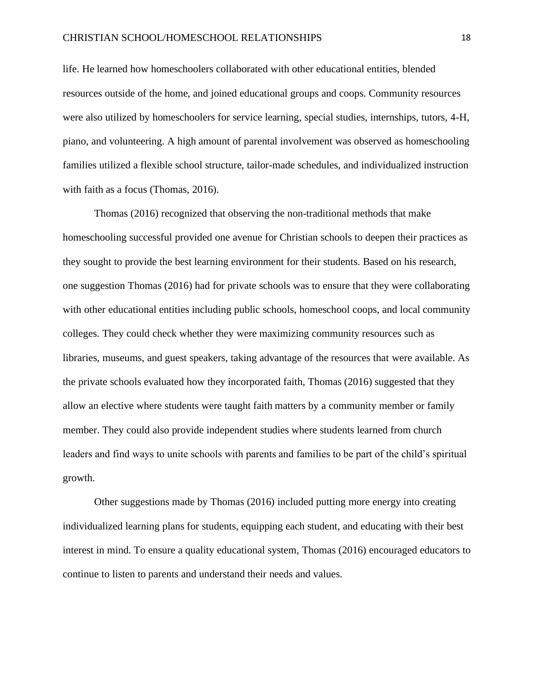life. He learned how homeschoolers collaborated with other educational entities, blended resources outside of the home, and joined educational groups and coops. Community resources were also utilized by homeschoolers for service learning, special studies, internships, tutors, 4-H, piano, and volunteering. A high amount of parental involvement was observed as homeschooling families utilized a flexible school structure, tailor-made schedules, and individualized instruction with faith as a focus (Thomas, 2016).

Thomas (2016) recognized that observing the non-traditional methods that make homeschooling successful provided one avenue for Christian schools to deepen their practices as they sought to provide the best learning environment for their students. Based on his research, one suggestion Thomas (2016) had for private schools was to ensure that they were collaborating with other educational entities including public schools, homeschool coops, and local community colleges. They could check whether they were maximizing community resources such as libraries, museums, and guest speakers, taking advantage of the resources that were available. As the private schools evaluated how they incorporated faith, Thomas (2016) suggested that they allow an elective where students were taught faith matters by a community member or family member. They could also provide independent studies where students learned from church leaders and find ways to unite schools with parents and families to be part of the child's spiritual growth.

Other suggestions made by Thomas (2016) included putting more energy into creating individualized learning plans for students, equipping each student, and educating with their best interest in mind. To ensure a quality educational system, Thomas (2016) encouraged educators to continue to listen to parents and understand their needs and values.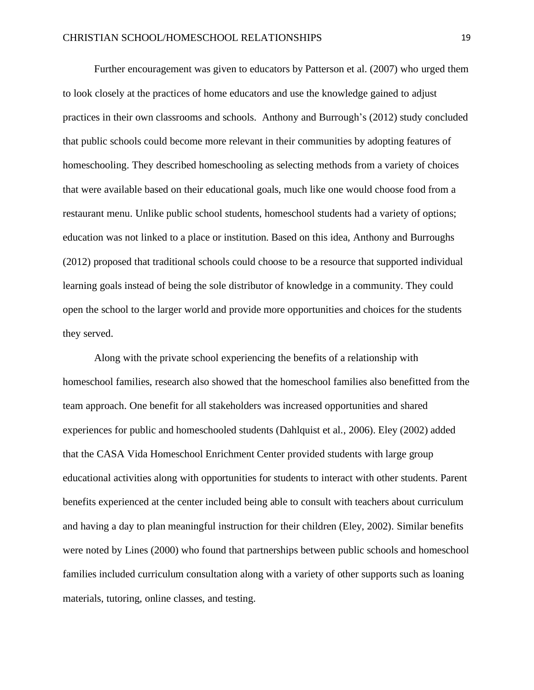Further encouragement was given to educators by Patterson et al. (2007) who urged them to look closely at the practices of home educators and use the knowledge gained to adjust practices in their own classrooms and schools. Anthony and Burrough's (2012) study concluded that public schools could become more relevant in their communities by adopting features of homeschooling. They described homeschooling as selecting methods from a variety of choices that were available based on their educational goals, much like one would choose food from a restaurant menu. Unlike public school students, homeschool students had a variety of options; education was not linked to a place or institution. Based on this idea, Anthony and Burroughs (2012) proposed that traditional schools could choose to be a resource that supported individual learning goals instead of being the sole distributor of knowledge in a community. They could open the school to the larger world and provide more opportunities and choices for the students they served.

Along with the private school experiencing the benefits of a relationship with homeschool families, research also showed that the homeschool families also benefitted from the team approach. One benefit for all stakeholders was increased opportunities and shared experiences for public and homeschooled students (Dahlquist et al., 2006). Eley (2002) added that the CASA Vida Homeschool Enrichment Center provided students with large group educational activities along with opportunities for students to interact with other students. Parent benefits experienced at the center included being able to consult with teachers about curriculum and having a day to plan meaningful instruction for their children (Eley, 2002). Similar benefits were noted by Lines (2000) who found that partnerships between public schools and homeschool families included curriculum consultation along with a variety of other supports such as loaning materials, tutoring, online classes, and testing.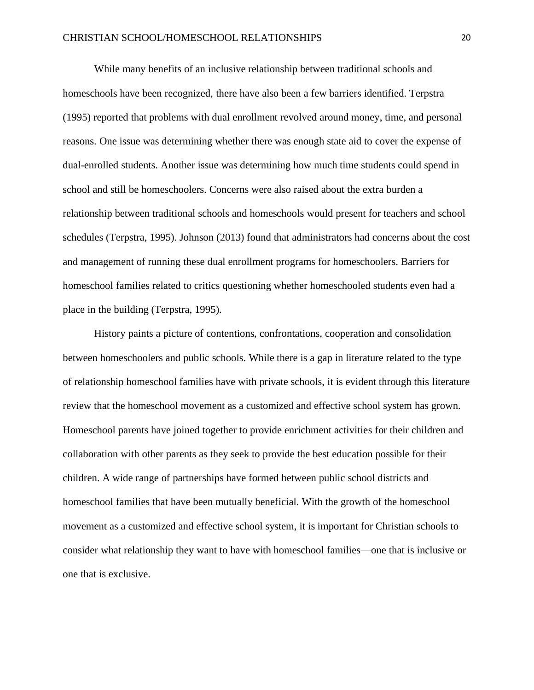While many benefits of an inclusive relationship between traditional schools and homeschools have been recognized, there have also been a few barriers identified. Terpstra (1995) reported that problems with dual enrollment revolved around money, time, and personal reasons. One issue was determining whether there was enough state aid to cover the expense of dual-enrolled students. Another issue was determining how much time students could spend in school and still be homeschoolers. Concerns were also raised about the extra burden a relationship between traditional schools and homeschools would present for teachers and school schedules (Terpstra, 1995). Johnson (2013) found that administrators had concerns about the cost and management of running these dual enrollment programs for homeschoolers. Barriers for homeschool families related to critics questioning whether homeschooled students even had a place in the building (Terpstra, 1995).

History paints a picture of contentions, confrontations, cooperation and consolidation between homeschoolers and public schools. While there is a gap in literature related to the type of relationship homeschool families have with private schools, it is evident through this literature review that the homeschool movement as a customized and effective school system has grown. Homeschool parents have joined together to provide enrichment activities for their children and collaboration with other parents as they seek to provide the best education possible for their children. A wide range of partnerships have formed between public school districts and homeschool families that have been mutually beneficial. With the growth of the homeschool movement as a customized and effective school system, it is important for Christian schools to consider what relationship they want to have with homeschool families—one that is inclusive or one that is exclusive.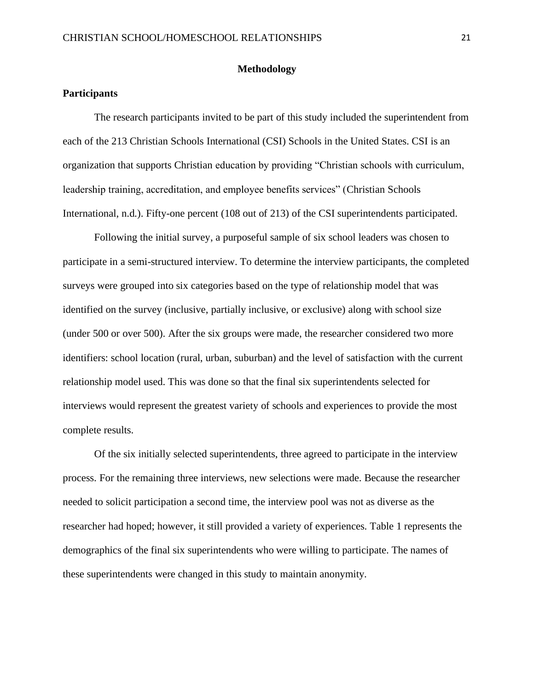#### **Methodology**

### **Participants**

The research participants invited to be part of this study included the superintendent from each of the 213 Christian Schools International (CSI) Schools in the United States. CSI is an organization that supports Christian education by providing "Christian schools with curriculum, leadership training, accreditation, and employee benefits services" (Christian Schools International, n.d.). Fifty-one percent (108 out of 213) of the CSI superintendents participated.

Following the initial survey, a purposeful sample of six school leaders was chosen to participate in a semi-structured interview. To determine the interview participants, the completed surveys were grouped into six categories based on the type of relationship model that was identified on the survey (inclusive, partially inclusive, or exclusive) along with school size (under 500 or over 500). After the six groups were made, the researcher considered two more identifiers: school location (rural, urban, suburban) and the level of satisfaction with the current relationship model used. This was done so that the final six superintendents selected for interviews would represent the greatest variety of schools and experiences to provide the most complete results.

Of the six initially selected superintendents, three agreed to participate in the interview process. For the remaining three interviews, new selections were made. Because the researcher needed to solicit participation a second time, the interview pool was not as diverse as the researcher had hoped; however, it still provided a variety of experiences. Table 1 represents the demographics of the final six superintendents who were willing to participate. The names of these superintendents were changed in this study to maintain anonymity.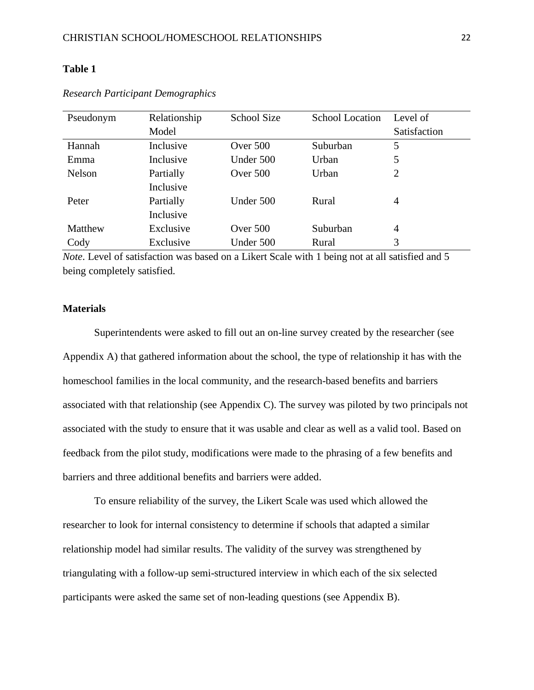| Pseudonym | Relationship | <b>School Size</b> | <b>School Location</b> | Level of     |
|-----------|--------------|--------------------|------------------------|--------------|
|           | Model        |                    |                        | Satisfaction |
| Hannah    | Inclusive    | Over 500           | Suburban               | 5            |
| Emma      | Inclusive    | Under 500          | Urban                  | 5            |
| Nelson    | Partially    | Over $500$         | Urban                  | 2            |
|           | Inclusive    |                    |                        |              |
| Peter     | Partially    | Under 500          | Rural                  | 4            |
|           | Inclusive    |                    |                        |              |
| Matthew   | Exclusive    | Over 500           | Suburban               | 4            |
| Cody      | Exclusive    | Under 500          | Rural                  | 3            |

#### *Research Participant Demographics*

*Note*. Level of satisfaction was based on a Likert Scale with 1 being not at all satisfied and 5 being completely satisfied.

#### **Materials**

Superintendents were asked to fill out an on-line survey created by the researcher (see Appendix A) that gathered information about the school, the type of relationship it has with the homeschool families in the local community, and the research-based benefits and barriers associated with that relationship (see Appendix C). The survey was piloted by two principals not associated with the study to ensure that it was usable and clear as well as a valid tool. Based on feedback from the pilot study, modifications were made to the phrasing of a few benefits and barriers and three additional benefits and barriers were added.

To ensure reliability of the survey, the Likert Scale was used which allowed the researcher to look for internal consistency to determine if schools that adapted a similar relationship model had similar results. The validity of the survey was strengthened by triangulating with a follow-up semi-structured interview in which each of the six selected participants were asked the same set of non-leading questions (see Appendix B).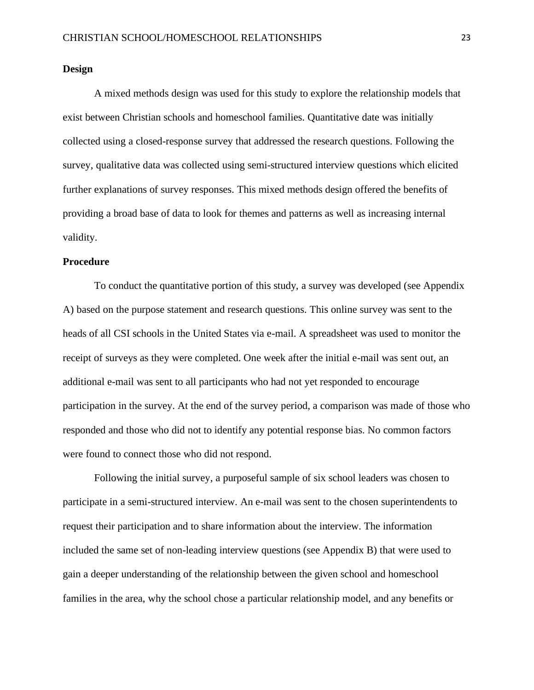#### **Design**

A mixed methods design was used for this study to explore the relationship models that exist between Christian schools and homeschool families. Quantitative date was initially collected using a closed-response survey that addressed the research questions. Following the survey, qualitative data was collected using semi-structured interview questions which elicited further explanations of survey responses. This mixed methods design offered the benefits of providing a broad base of data to look for themes and patterns as well as increasing internal validity.

#### **Procedure**

To conduct the quantitative portion of this study, a survey was developed (see Appendix A) based on the purpose statement and research questions. This online survey was sent to the heads of all CSI schools in the United States via e-mail. A spreadsheet was used to monitor the receipt of surveys as they were completed. One week after the initial e-mail was sent out, an additional e-mail was sent to all participants who had not yet responded to encourage participation in the survey. At the end of the survey period, a comparison was made of those who responded and those who did not to identify any potential response bias. No common factors were found to connect those who did not respond.

Following the initial survey, a purposeful sample of six school leaders was chosen to participate in a semi-structured interview. An e-mail was sent to the chosen superintendents to request their participation and to share information about the interview. The information included the same set of non-leading interview questions (see Appendix B) that were used to gain a deeper understanding of the relationship between the given school and homeschool families in the area, why the school chose a particular relationship model, and any benefits or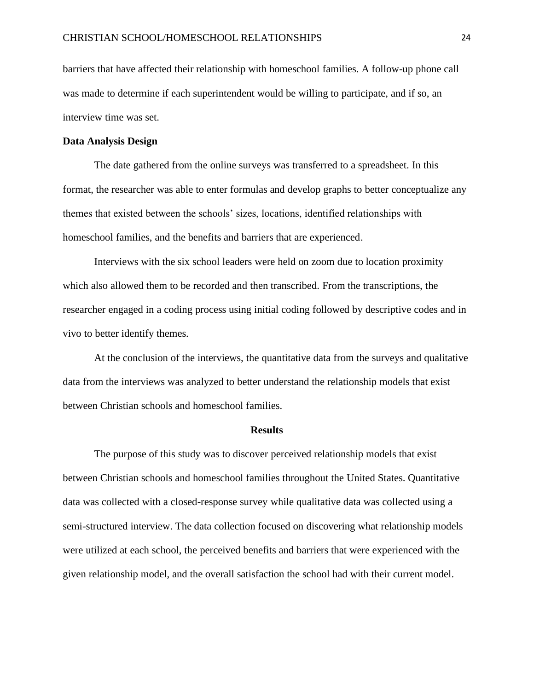barriers that have affected their relationship with homeschool families. A follow-up phone call was made to determine if each superintendent would be willing to participate, and if so, an interview time was set.

#### **Data Analysis Design**

The date gathered from the online surveys was transferred to a spreadsheet. In this format, the researcher was able to enter formulas and develop graphs to better conceptualize any themes that existed between the schools' sizes, locations, identified relationships with homeschool families, and the benefits and barriers that are experienced.

Interviews with the six school leaders were held on zoom due to location proximity which also allowed them to be recorded and then transcribed. From the transcriptions, the researcher engaged in a coding process using initial coding followed by descriptive codes and in vivo to better identify themes.

At the conclusion of the interviews, the quantitative data from the surveys and qualitative data from the interviews was analyzed to better understand the relationship models that exist between Christian schools and homeschool families.

#### **Results**

The purpose of this study was to discover perceived relationship models that exist between Christian schools and homeschool families throughout the United States. Quantitative data was collected with a closed-response survey while qualitative data was collected using a semi-structured interview. The data collection focused on discovering what relationship models were utilized at each school, the perceived benefits and barriers that were experienced with the given relationship model, and the overall satisfaction the school had with their current model.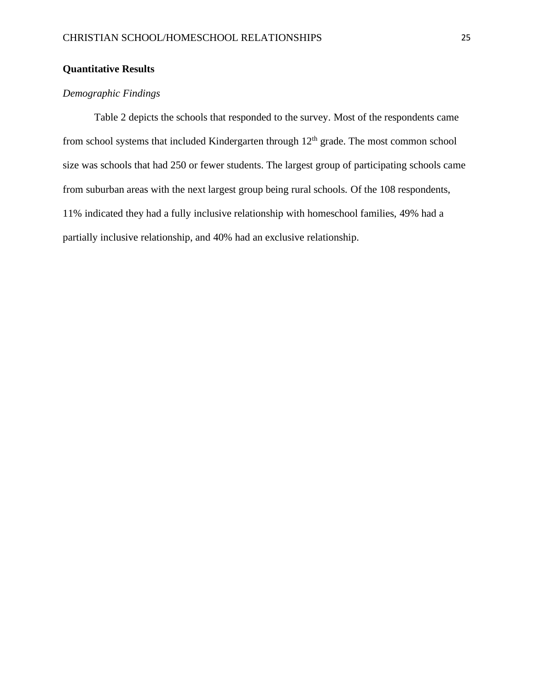## **Quantitative Results**

## *Demographic Findings*

Table 2 depicts the schools that responded to the survey. Most of the respondents came from school systems that included Kindergarten through  $12<sup>th</sup>$  grade. The most common school size was schools that had 250 or fewer students. The largest group of participating schools came from suburban areas with the next largest group being rural schools. Of the 108 respondents, 11% indicated they had a fully inclusive relationship with homeschool families, 49% had a partially inclusive relationship, and 40% had an exclusive relationship.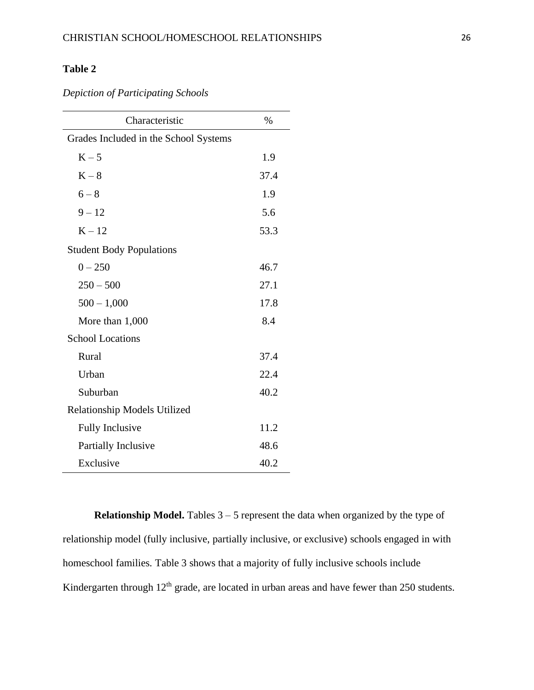*Depiction of Participating Schools*

| Characteristic                        | $\%$ |  |  |
|---------------------------------------|------|--|--|
| Grades Included in the School Systems |      |  |  |
| $K - 5$                               | 1.9  |  |  |
| $K-8$                                 | 37.4 |  |  |
| $6 - 8$                               | 1.9  |  |  |
| $9 - 12$                              | 5.6  |  |  |
| $K - 12$                              | 53.3 |  |  |
| <b>Student Body Populations</b>       |      |  |  |
| $0 - 250$                             | 46.7 |  |  |
| $250 - 500$                           | 27.1 |  |  |
| $500 - 1,000$                         | 17.8 |  |  |
| More than 1,000                       | 8.4  |  |  |
| <b>School Locations</b>               |      |  |  |
| Rural                                 | 37.4 |  |  |
| Urban                                 | 22.4 |  |  |
| Suburban                              | 40.2 |  |  |
| Relationship Models Utilized          |      |  |  |
| <b>Fully Inclusive</b>                | 11.2 |  |  |
| Partially Inclusive                   | 48.6 |  |  |
| Exclusive                             | 40.2 |  |  |

**Relationship Model.** Tables  $3 - 5$  represent the data when organized by the type of relationship model (fully inclusive, partially inclusive, or exclusive) schools engaged in with homeschool families. Table 3 shows that a majority of fully inclusive schools include Kindergarten through  $12<sup>th</sup>$  grade, are located in urban areas and have fewer than 250 students.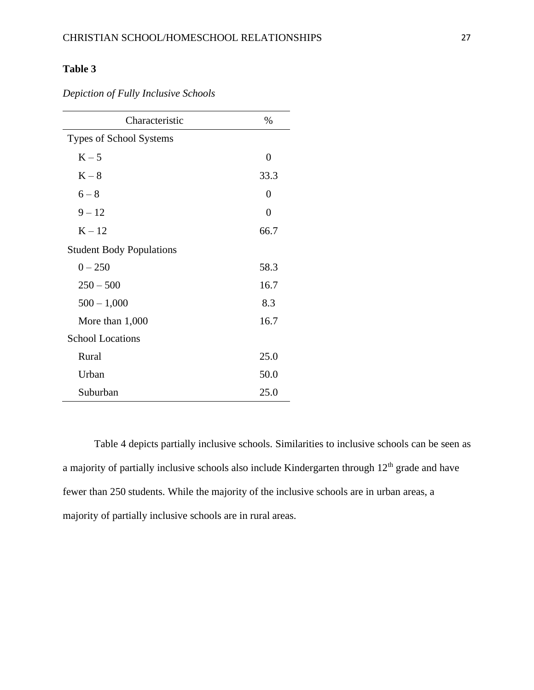*Depiction of Fully Inclusive Schools*

| Characteristic                  | $\%$           |  |
|---------------------------------|----------------|--|
| <b>Types of School Systems</b>  |                |  |
| $K - 5$                         | $\overline{0}$ |  |
| $K-8$                           | 33.3           |  |
| $6 - 8$                         | 0              |  |
| $9 - 12$                        | $\overline{0}$ |  |
| $K - 12$                        | 66.7           |  |
| <b>Student Body Populations</b> |                |  |
| $0 - 250$                       | 58.3           |  |
| $250 - 500$                     | 16.7           |  |
| $500 - 1,000$                   | 8.3            |  |
| More than 1,000                 | 16.7           |  |
| <b>School Locations</b>         |                |  |
| Rural                           | 25.0           |  |
| Urban                           | 50.0           |  |
| Suburban                        | 25.0           |  |

Table 4 depicts partially inclusive schools. Similarities to inclusive schools can be seen as a majority of partially inclusive schools also include Kindergarten through 12<sup>th</sup> grade and have fewer than 250 students. While the majority of the inclusive schools are in urban areas, a majority of partially inclusive schools are in rural areas.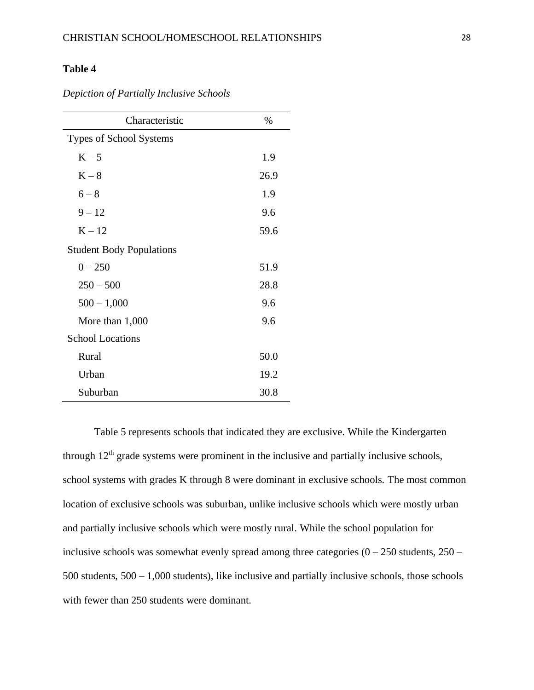| Characteristic                  | $\%$ |
|---------------------------------|------|
| <b>Types of School Systems</b>  |      |
| $K - 5$                         | 1.9  |
| $K-8$                           | 26.9 |
| $6 - 8$                         | 1.9  |
| $9 - 12$                        | 9.6  |
| $K - 12$                        | 59.6 |
| <b>Student Body Populations</b> |      |
| $0 - 250$                       | 51.9 |
| $250 - 500$                     | 28.8 |
| $500 - 1,000$                   | 9.6  |
| More than $1,000$               | 9.6  |
| <b>School Locations</b>         |      |
| Rural                           | 50.0 |
| Urban                           | 19.2 |
| Suburban                        | 30.8 |

*Depiction of Partially Inclusive Schools*

Table 5 represents schools that indicated they are exclusive. While the Kindergarten through  $12<sup>th</sup>$  grade systems were prominent in the inclusive and partially inclusive schools, school systems with grades K through 8 were dominant in exclusive schools. The most common location of exclusive schools was suburban, unlike inclusive schools which were mostly urban and partially inclusive schools which were mostly rural. While the school population for inclusive schools was somewhat evenly spread among three categories  $(0 - 250$  students,  $250 -$ 500 students, 500 – 1,000 students), like inclusive and partially inclusive schools, those schools with fewer than 250 students were dominant.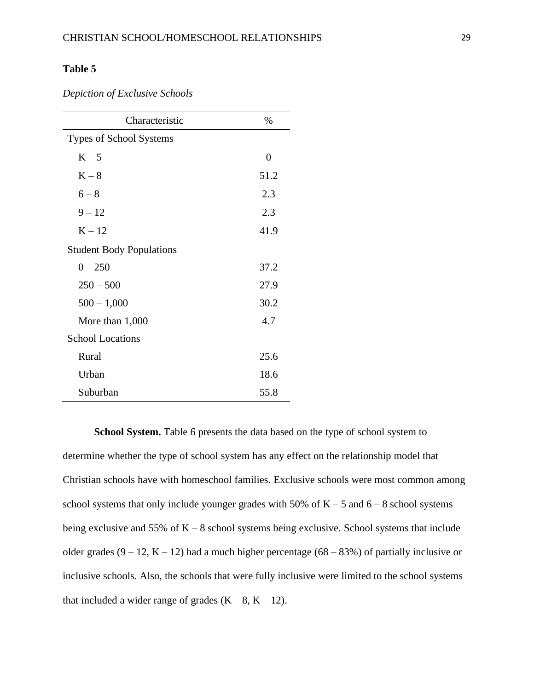*Depiction of Exclusive Schools*

| Characteristic                  | $\%$           |
|---------------------------------|----------------|
| <b>Types of School Systems</b>  |                |
| $K - 5$                         | $\overline{0}$ |
| $K-8$                           | 51.2           |
| $6 - 8$                         | 2.3            |
| $9 - 12$                        | 2.3            |
| $K - 12$                        | 41.9           |
| <b>Student Body Populations</b> |                |
| $0 - 250$                       | 37.2           |
| $250 - 500$                     | 27.9           |
| $500 - 1,000$                   | 30.2           |
| More than 1,000                 | 4.7            |
| <b>School Locations</b>         |                |
| Rural                           | 25.6           |
| Urban                           | 18.6           |
| Suburban                        | 55.8           |

**School System.** Table 6 presents the data based on the type of school system to determine whether the type of school system has any effect on the relationship model that Christian schools have with homeschool families. Exclusive schools were most common among school systems that only include younger grades with 50% of  $K - 5$  and  $6 - 8$  school systems being exclusive and 55% of  $K - 8$  school systems being exclusive. School systems that include older grades  $(9 - 12, K - 12)$  had a much higher percentage  $(68 - 83%)$  of partially inclusive or inclusive schools. Also, the schools that were fully inclusive were limited to the school systems that included a wider range of grades  $(K - 8, K - 12)$ .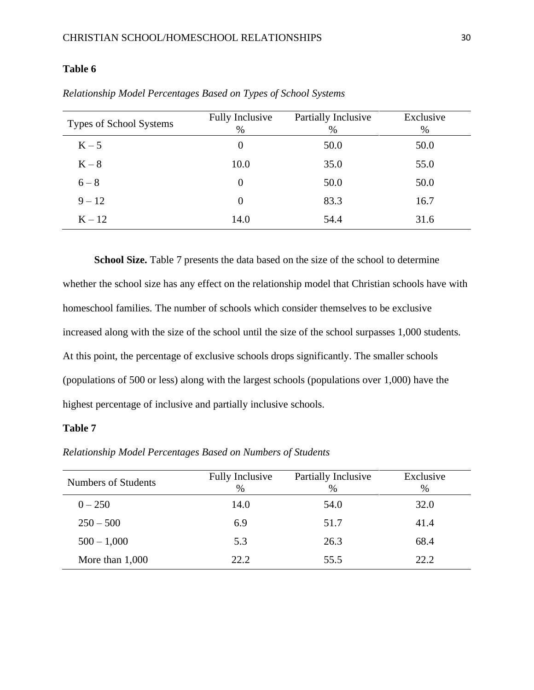| Types of School Systems | <b>Fully Inclusive</b><br>$\%$ | Partially Inclusive<br>$\%$ | Exclusive<br>% |
|-------------------------|--------------------------------|-----------------------------|----------------|
| $K - 5$                 | $\theta$                       | 50.0                        | 50.0           |
| $K-8$                   | 10.0                           | 35.0                        | 55.0           |
| $6 - 8$                 | $\theta$                       | 50.0                        | 50.0           |
| $9 - 12$                | $\overline{0}$                 | 83.3                        | 16.7           |
| $K - 12$                | 14.0                           | 54.4                        | 31.6           |

*Relationship Model Percentages Based on Types of School Systems*

**School Size.** Table 7 presents the data based on the size of the school to determine whether the school size has any effect on the relationship model that Christian schools have with homeschool families. The number of schools which consider themselves to be exclusive increased along with the size of the school until the size of the school surpasses 1,000 students. At this point, the percentage of exclusive schools drops significantly. The smaller schools (populations of 500 or less) along with the largest schools (populations over 1,000) have the highest percentage of inclusive and partially inclusive schools.

### **Table 7**

*Relationship Model Percentages Based on Numbers of Students*

| Numbers of Students | <b>Fully Inclusive</b><br>$\%$ | Partially Inclusive<br>$\%$ | Exclusive<br>$\%$ |
|---------------------|--------------------------------|-----------------------------|-------------------|
| $0 - 250$           | 14.0                           | 54.0                        | 32.0              |
| $250 - 500$         | 6.9                            | 51.7                        | 41.4              |
| $500 - 1,000$       | 5.3                            | 26.3                        | 68.4              |
| More than $1,000$   | 22.2                           | 55.5                        | 22.2              |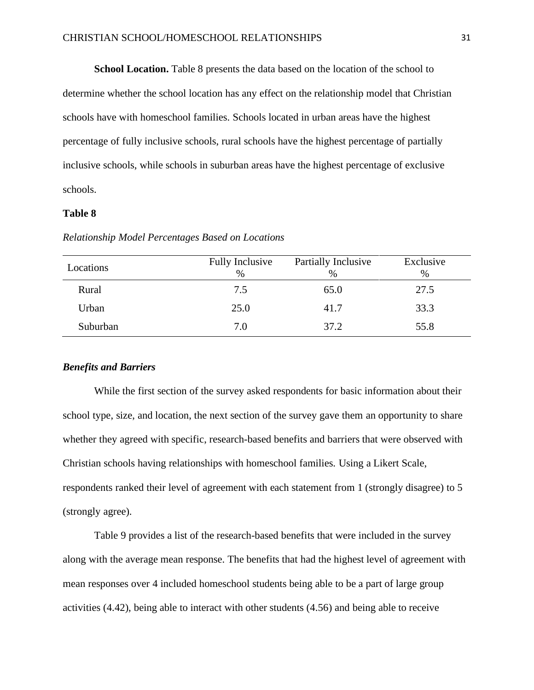**School Location.** Table 8 presents the data based on the location of the school to

determine whether the school location has any effect on the relationship model that Christian schools have with homeschool families. Schools located in urban areas have the highest percentage of fully inclusive schools, rural schools have the highest percentage of partially inclusive schools, while schools in suburban areas have the highest percentage of exclusive schools.

#### **Table 8**

| Locations | <b>Fully Inclusive</b><br>$\%$ | Partially Inclusive<br>$\%$ | Exclusive<br>$\%$ |
|-----------|--------------------------------|-----------------------------|-------------------|
| Rural     | 7.5                            | 65.0                        | 27.5              |
| Urban     | 25.0                           | 41.7                        | 33.3              |
| Suburban  | 7.0                            | 37.2                        | 55.8              |

*Relationship Model Percentages Based on Locations*

#### *Benefits and Barriers*

While the first section of the survey asked respondents for basic information about their school type, size, and location, the next section of the survey gave them an opportunity to share whether they agreed with specific, research-based benefits and barriers that were observed with Christian schools having relationships with homeschool families. Using a Likert Scale, respondents ranked their level of agreement with each statement from 1 (strongly disagree) to 5 (strongly agree).

Table 9 provides a list of the research-based benefits that were included in the survey along with the average mean response. The benefits that had the highest level of agreement with mean responses over 4 included homeschool students being able to be a part of large group activities (4.42), being able to interact with other students (4.56) and being able to receive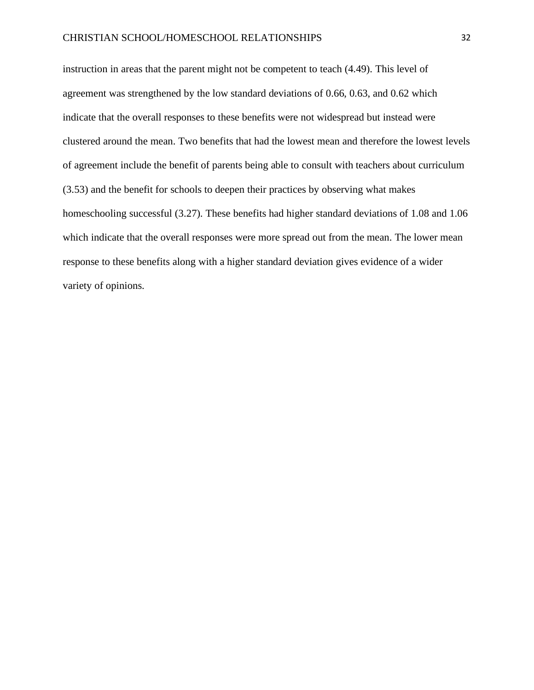instruction in areas that the parent might not be competent to teach (4.49). This level of agreement was strengthened by the low standard deviations of 0.66, 0.63, and 0.62 which indicate that the overall responses to these benefits were not widespread but instead were clustered around the mean. Two benefits that had the lowest mean and therefore the lowest levels of agreement include the benefit of parents being able to consult with teachers about curriculum (3.53) and the benefit for schools to deepen their practices by observing what makes homeschooling successful (3.27). These benefits had higher standard deviations of 1.08 and 1.06 which indicate that the overall responses were more spread out from the mean. The lower mean response to these benefits along with a higher standard deviation gives evidence of a wider variety of opinions.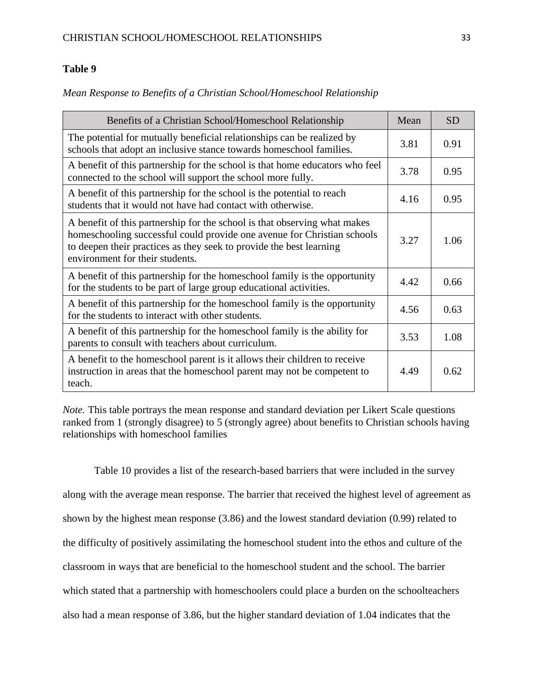*Mean Response to Benefits of a Christian School/Homeschool Relationship*

| Benefits of a Christian School/Homeschool Relationship                                                                                                                                                                                                         | Mean | <b>SD</b> |
|----------------------------------------------------------------------------------------------------------------------------------------------------------------------------------------------------------------------------------------------------------------|------|-----------|
| The potential for mutually beneficial relationships can be realized by<br>schools that adopt an inclusive stance towards homeschool families.                                                                                                                  | 3.81 | 0.91      |
| A benefit of this partnership for the school is that home educators who feel<br>connected to the school will support the school more fully.                                                                                                                    | 3.78 | 0.95      |
| A benefit of this partnership for the school is the potential to reach<br>students that it would not have had contact with otherwise.                                                                                                                          | 4.16 | 0.95      |
| A benefit of this partnership for the school is that observing what makes<br>homeschooling successful could provide one avenue for Christian schools<br>to deepen their practices as they seek to provide the best learning<br>environment for their students. | 3.27 | 1.06      |
| A benefit of this partnership for the homeschool family is the opportunity<br>for the students to be part of large group educational activities.                                                                                                               | 4.42 | 0.66      |
| A benefit of this partnership for the homeschool family is the opportunity<br>for the students to interact with other students.                                                                                                                                | 4.56 | 0.63      |
| A benefit of this partnership for the homeschool family is the ability for<br>parents to consult with teachers about curriculum.                                                                                                                               | 3.53 | 1.08      |
| A benefit to the homeschool parent is it allows their children to receive<br>instruction in areas that the homeschool parent may not be competent to<br>teach.                                                                                                 | 4.49 | 0.62      |

*Note.* This table portrays the mean response and standard deviation per Likert Scale questions ranked from 1 (strongly disagree) to 5 (strongly agree) about benefits to Christian schools having relationships with homeschool families

Table 10 provides a list of the research-based barriers that were included in the survey along with the average mean response. The barrier that received the highest level of agreement as shown by the highest mean response (3.86) and the lowest standard deviation (0.99) related to the difficulty of positively assimilating the homeschool student into the ethos and culture of the classroom in ways that are beneficial to the homeschool student and the school. The barrier which stated that a partnership with homeschoolers could place a burden on the schoolteachers also had a mean response of 3.86, but the higher standard deviation of 1.04 indicates that the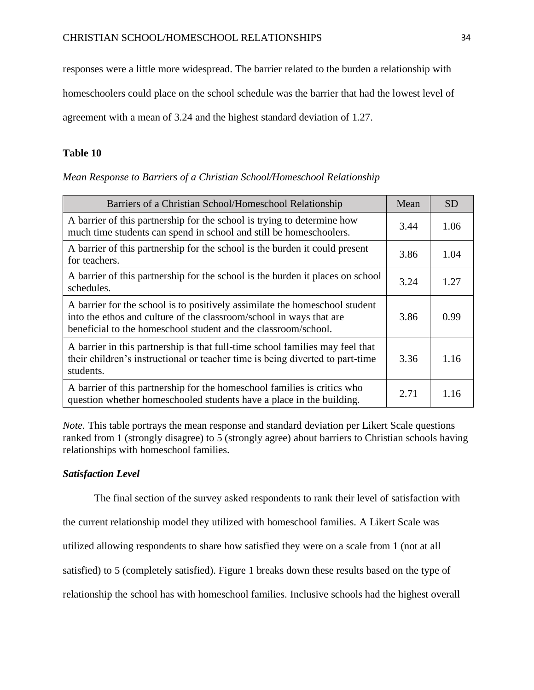responses were a little more widespread. The barrier related to the burden a relationship with

homeschoolers could place on the school schedule was the barrier that had the lowest level of

agreement with a mean of 3.24 and the highest standard deviation of 1.27.

### **Table 10**

|  |  | Mean Response to Barriers of a Christian School/Homeschool Relationship |
|--|--|-------------------------------------------------------------------------|
|  |  |                                                                         |

| Barriers of a Christian School/Homeschool Relationship                                                                                                                                                               | Mean | <b>SD</b> |
|----------------------------------------------------------------------------------------------------------------------------------------------------------------------------------------------------------------------|------|-----------|
| A barrier of this partnership for the school is trying to determine how<br>much time students can spend in school and still be homeschoolers.                                                                        | 3.44 | 1.06      |
| A barrier of this partnership for the school is the burden it could present<br>for teachers.                                                                                                                         | 3.86 | 1.04      |
| A barrier of this partnership for the school is the burden it places on school<br>schedules.                                                                                                                         | 3.24 | 1.27      |
| A barrier for the school is to positively assimilate the homeschool student<br>into the ethos and culture of the classroom/school in ways that are<br>beneficial to the homeschool student and the classroom/school. | 3.86 | 0.99      |
| A barrier in this partnership is that full-time school families may feel that<br>their children's instructional or teacher time is being diverted to part-time<br>students.                                          | 3.36 | 1.16      |
| A barrier of this partnership for the homeschool families is critics who<br>question whether homeschooled students have a place in the building.                                                                     | 2.71 | 1.16      |

*Note.* This table portrays the mean response and standard deviation per Likert Scale questions ranked from 1 (strongly disagree) to 5 (strongly agree) about barriers to Christian schools having relationships with homeschool families.

## *Satisfaction Level*

The final section of the survey asked respondents to rank their level of satisfaction with

the current relationship model they utilized with homeschool families. A Likert Scale was

utilized allowing respondents to share how satisfied they were on a scale from 1 (not at all

satisfied) to 5 (completely satisfied). Figure 1 breaks down these results based on the type of

relationship the school has with homeschool families. Inclusive schools had the highest overall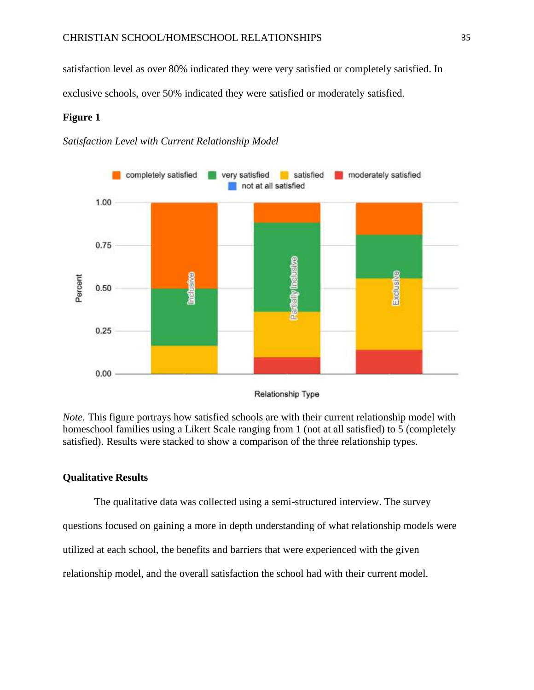satisfaction level as over 80% indicated they were very satisfied or completely satisfied. In exclusive schools, over 50% indicated they were satisfied or moderately satisfied.

## **Figure 1**

*Satisfaction Level with Current Relationship Model*



**Relationship Type** 

*Note.* This figure portrays how satisfied schools are with their current relationship model with homeschool families using a Likert Scale ranging from 1 (not at all satisfied) to 5 (completely satisfied). Results were stacked to show a comparison of the three relationship types.

## **Qualitative Results**

The qualitative data was collected using a semi-structured interview. The survey questions focused on gaining a more in depth understanding of what relationship models were utilized at each school, the benefits and barriers that were experienced with the given relationship model, and the overall satisfaction the school had with their current model.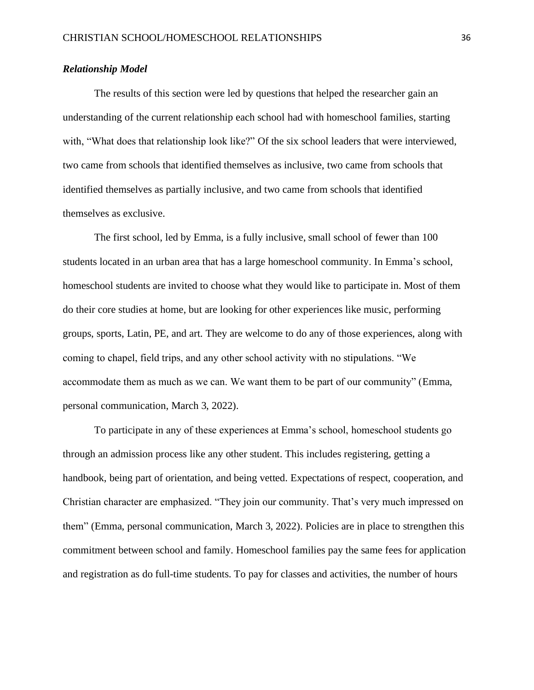## *Relationship Model*

The results of this section were led by questions that helped the researcher gain an understanding of the current relationship each school had with homeschool families, starting with, "What does that relationship look like?" Of the six school leaders that were interviewed, two came from schools that identified themselves as inclusive, two came from schools that identified themselves as partially inclusive, and two came from schools that identified themselves as exclusive.

The first school, led by Emma, is a fully inclusive, small school of fewer than 100 students located in an urban area that has a large homeschool community. In Emma's school, homeschool students are invited to choose what they would like to participate in. Most of them do their core studies at home, but are looking for other experiences like music, performing groups, sports, Latin, PE, and art. They are welcome to do any of those experiences, along with coming to chapel, field trips, and any other school activity with no stipulations. "We accommodate them as much as we can. We want them to be part of our community" (Emma, personal communication, March 3, 2022).

To participate in any of these experiences at Emma's school, homeschool students go through an admission process like any other student. This includes registering, getting a handbook, being part of orientation, and being vetted. Expectations of respect, cooperation, and Christian character are emphasized. "They join our community. That's very much impressed on them" (Emma, personal communication, March 3, 2022). Policies are in place to strengthen this commitment between school and family. Homeschool families pay the same fees for application and registration as do full-time students. To pay for classes and activities, the number of hours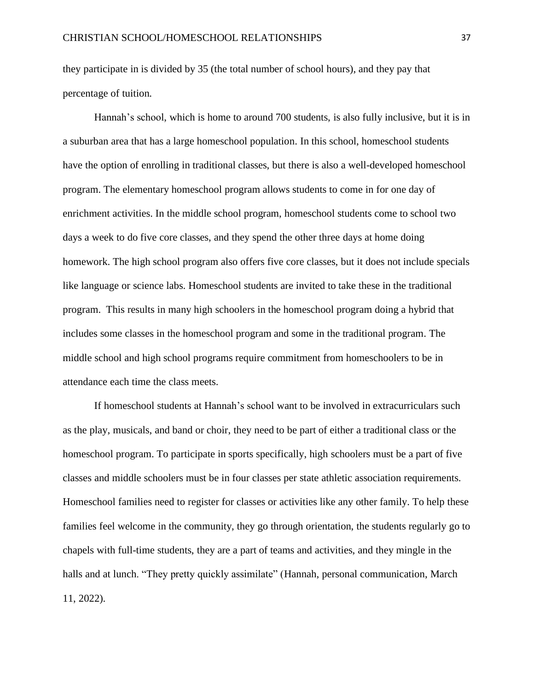they participate in is divided by 35 (the total number of school hours), and they pay that percentage of tuition.

Hannah's school, which is home to around 700 students, is also fully inclusive, but it is in a suburban area that has a large homeschool population. In this school, homeschool students have the option of enrolling in traditional classes, but there is also a well-developed homeschool program. The elementary homeschool program allows students to come in for one day of enrichment activities. In the middle school program, homeschool students come to school two days a week to do five core classes, and they spend the other three days at home doing homework. The high school program also offers five core classes, but it does not include specials like language or science labs. Homeschool students are invited to take these in the traditional program. This results in many high schoolers in the homeschool program doing a hybrid that includes some classes in the homeschool program and some in the traditional program. The middle school and high school programs require commitment from homeschoolers to be in attendance each time the class meets.

If homeschool students at Hannah's school want to be involved in extracurriculars such as the play, musicals, and band or choir, they need to be part of either a traditional class or the homeschool program. To participate in sports specifically, high schoolers must be a part of five classes and middle schoolers must be in four classes per state athletic association requirements. Homeschool families need to register for classes or activities like any other family. To help these families feel welcome in the community, they go through orientation, the students regularly go to chapels with full-time students, they are a part of teams and activities, and they mingle in the halls and at lunch. "They pretty quickly assimilate" (Hannah, personal communication, March 11, 2022).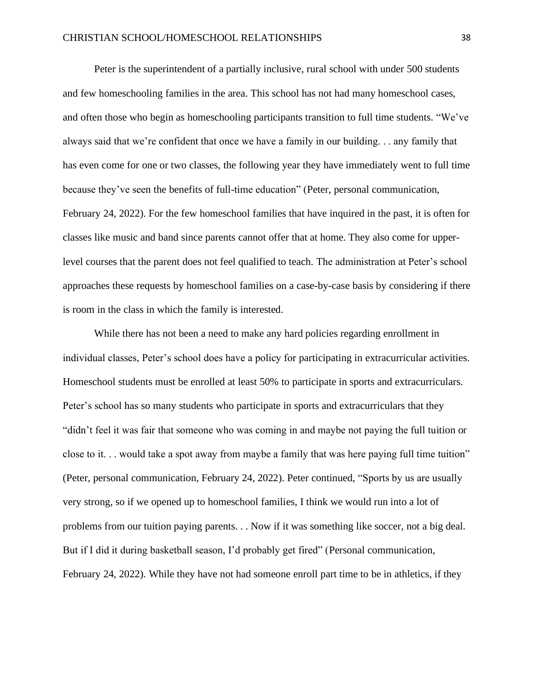Peter is the superintendent of a partially inclusive, rural school with under 500 students and few homeschooling families in the area. This school has not had many homeschool cases, and often those who begin as homeschooling participants transition to full time students. "We've always said that we're confident that once we have a family in our building. . . any family that has even come for one or two classes, the following year they have immediately went to full time because they've seen the benefits of full-time education" (Peter, personal communication, February 24, 2022). For the few homeschool families that have inquired in the past, it is often for classes like music and band since parents cannot offer that at home. They also come for upperlevel courses that the parent does not feel qualified to teach. The administration at Peter's school approaches these requests by homeschool families on a case-by-case basis by considering if there is room in the class in which the family is interested.

While there has not been a need to make any hard policies regarding enrollment in individual classes, Peter's school does have a policy for participating in extracurricular activities. Homeschool students must be enrolled at least 50% to participate in sports and extracurriculars. Peter's school has so many students who participate in sports and extracurriculars that they "didn't feel it was fair that someone who was coming in and maybe not paying the full tuition or close to it. . . would take a spot away from maybe a family that was here paying full time tuition" (Peter, personal communication, February 24, 2022). Peter continued, "Sports by us are usually very strong, so if we opened up to homeschool families, I think we would run into a lot of problems from our tuition paying parents. . . Now if it was something like soccer, not a big deal. But if I did it during basketball season, I'd probably get fired" (Personal communication, February 24, 2022). While they have not had someone enroll part time to be in athletics, if they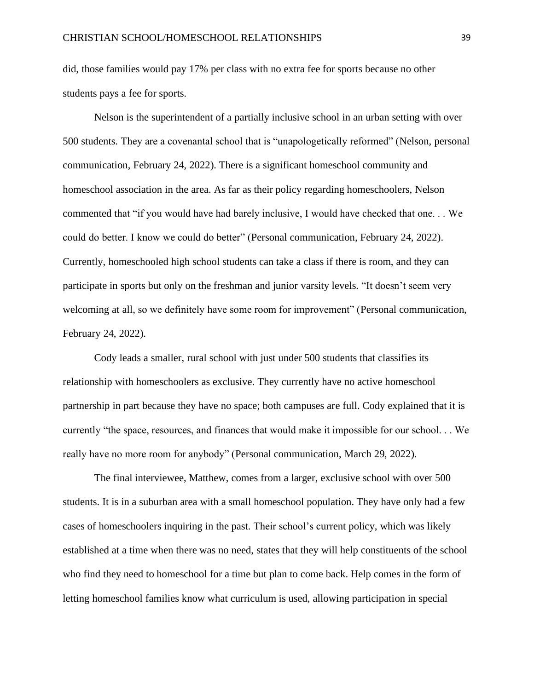did, those families would pay 17% per class with no extra fee for sports because no other students pays a fee for sports.

Nelson is the superintendent of a partially inclusive school in an urban setting with over 500 students. They are a covenantal school that is "unapologetically reformed" (Nelson, personal communication, February 24, 2022). There is a significant homeschool community and homeschool association in the area. As far as their policy regarding homeschoolers, Nelson commented that "if you would have had barely inclusive, I would have checked that one. . . We could do better. I know we could do better" (Personal communication, February 24, 2022). Currently, homeschooled high school students can take a class if there is room, and they can participate in sports but only on the freshman and junior varsity levels. "It doesn't seem very welcoming at all, so we definitely have some room for improvement" (Personal communication, February 24, 2022).

Cody leads a smaller, rural school with just under 500 students that classifies its relationship with homeschoolers as exclusive. They currently have no active homeschool partnership in part because they have no space; both campuses are full. Cody explained that it is currently "the space, resources, and finances that would make it impossible for our school. . . We really have no more room for anybody" (Personal communication, March 29, 2022).

The final interviewee, Matthew, comes from a larger, exclusive school with over 500 students. It is in a suburban area with a small homeschool population. They have only had a few cases of homeschoolers inquiring in the past. Their school's current policy, which was likely established at a time when there was no need, states that they will help constituents of the school who find they need to homeschool for a time but plan to come back. Help comes in the form of letting homeschool families know what curriculum is used, allowing participation in special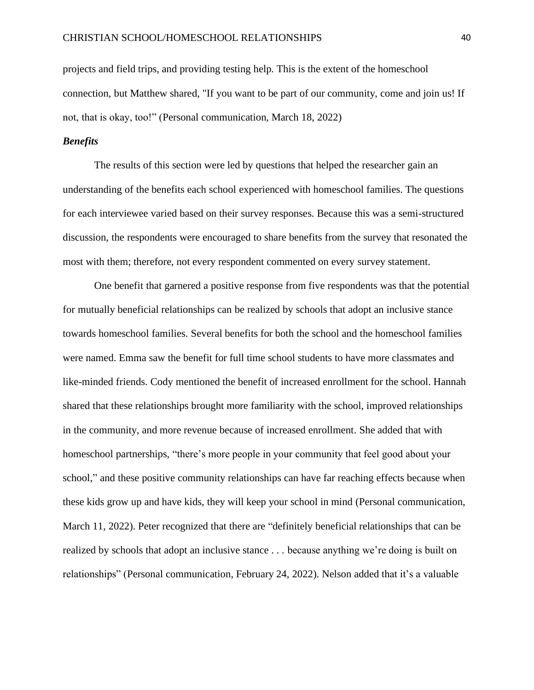projects and field trips, and providing testing help. This is the extent of the homeschool connection, but Matthew shared, "If you want to be part of our community, come and join us! If not, that is okay, too!" (Personal communication, March 18, 2022)

## *Benefits*

The results of this section were led by questions that helped the researcher gain an understanding of the benefits each school experienced with homeschool families. The questions for each interviewee varied based on their survey responses. Because this was a semi-structured discussion, the respondents were encouraged to share benefits from the survey that resonated the most with them; therefore, not every respondent commented on every survey statement.

One benefit that garnered a positive response from five respondents was that the potential for mutually beneficial relationships can be realized by schools that adopt an inclusive stance towards homeschool families. Several benefits for both the school and the homeschool families were named. Emma saw the benefit for full time school students to have more classmates and like-minded friends. Cody mentioned the benefit of increased enrollment for the school. Hannah shared that these relationships brought more familiarity with the school, improved relationships in the community, and more revenue because of increased enrollment. She added that with homeschool partnerships, "there's more people in your community that feel good about your school," and these positive community relationships can have far reaching effects because when these kids grow up and have kids, they will keep your school in mind (Personal communication, March 11, 2022). Peter recognized that there are "definitely beneficial relationships that can be realized by schools that adopt an inclusive stance . . . because anything we're doing is built on relationships" (Personal communication, February 24, 2022). Nelson added that it's a valuable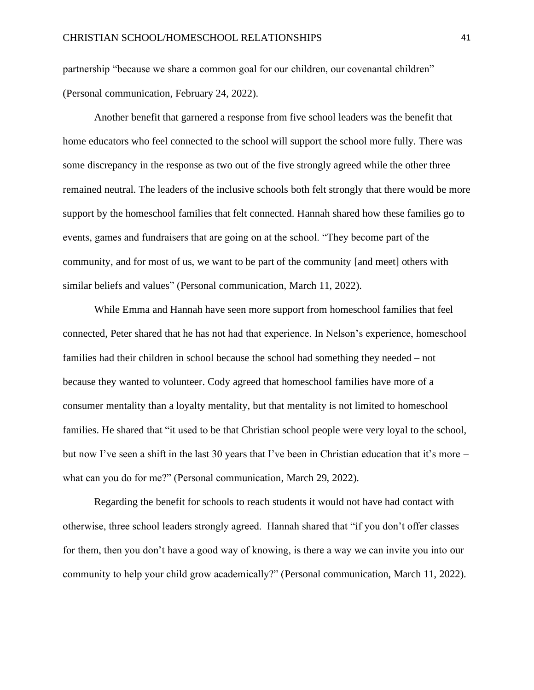partnership "because we share a common goal for our children, our covenantal children" (Personal communication, February 24, 2022).

Another benefit that garnered a response from five school leaders was the benefit that home educators who feel connected to the school will support the school more fully. There was some discrepancy in the response as two out of the five strongly agreed while the other three remained neutral. The leaders of the inclusive schools both felt strongly that there would be more support by the homeschool families that felt connected. Hannah shared how these families go to events, games and fundraisers that are going on at the school. "They become part of the community, and for most of us, we want to be part of the community [and meet] others with similar beliefs and values" (Personal communication, March 11, 2022).

While Emma and Hannah have seen more support from homeschool families that feel connected, Peter shared that he has not had that experience. In Nelson's experience, homeschool families had their children in school because the school had something they needed – not because they wanted to volunteer. Cody agreed that homeschool families have more of a consumer mentality than a loyalty mentality, but that mentality is not limited to homeschool families. He shared that "it used to be that Christian school people were very loyal to the school, but now I've seen a shift in the last 30 years that I've been in Christian education that it's more – what can you do for me?" (Personal communication, March 29, 2022).

Regarding the benefit for schools to reach students it would not have had contact with otherwise, three school leaders strongly agreed. Hannah shared that "if you don't offer classes for them, then you don't have a good way of knowing, is there a way we can invite you into our community to help your child grow academically?" (Personal communication, March 11, 2022).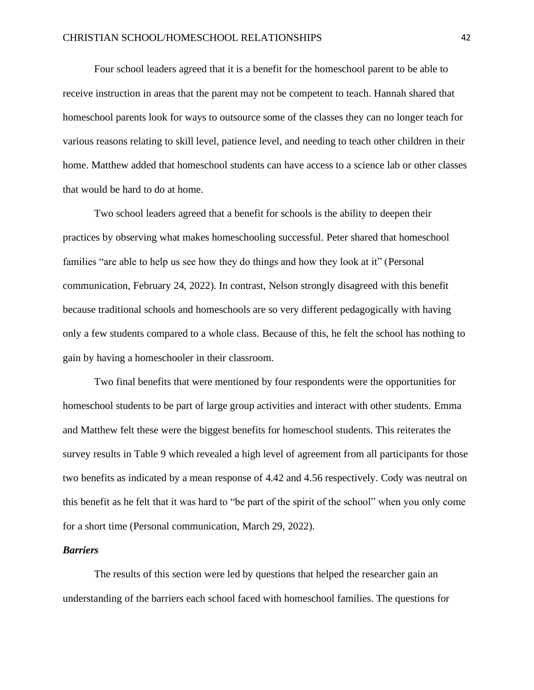Four school leaders agreed that it is a benefit for the homeschool parent to be able to receive instruction in areas that the parent may not be competent to teach. Hannah shared that homeschool parents look for ways to outsource some of the classes they can no longer teach for various reasons relating to skill level, patience level, and needing to teach other children in their home. Matthew added that homeschool students can have access to a science lab or other classes that would be hard to do at home.

Two school leaders agreed that a benefit for schools is the ability to deepen their practices by observing what makes homeschooling successful. Peter shared that homeschool families "are able to help us see how they do things and how they look at it" (Personal communication, February 24, 2022). In contrast, Nelson strongly disagreed with this benefit because traditional schools and homeschools are so very different pedagogically with having only a few students compared to a whole class. Because of this, he felt the school has nothing to gain by having a homeschooler in their classroom.

Two final benefits that were mentioned by four respondents were the opportunities for homeschool students to be part of large group activities and interact with other students. Emma and Matthew felt these were the biggest benefits for homeschool students. This reiterates the survey results in Table 9 which revealed a high level of agreement from all participants for those two benefits as indicated by a mean response of 4.42 and 4.56 respectively. Cody was neutral on this benefit as he felt that it was hard to "be part of the spirit of the school" when you only come for a short time (Personal communication, March 29, 2022).

#### *Barriers*

The results of this section were led by questions that helped the researcher gain an understanding of the barriers each school faced with homeschool families. The questions for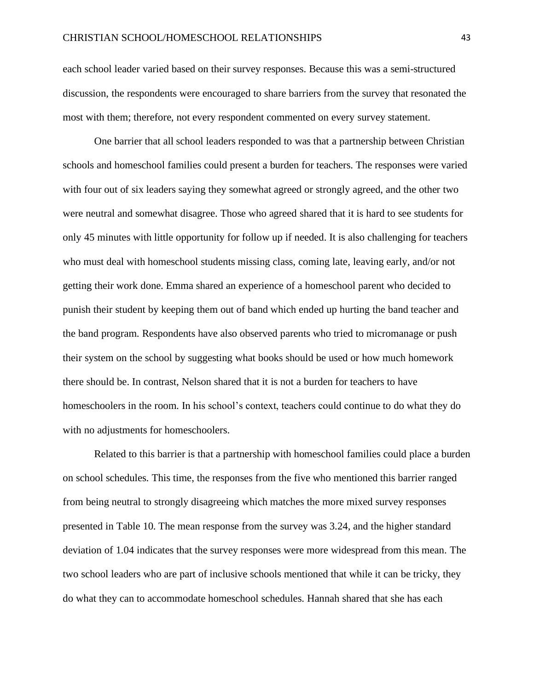each school leader varied based on their survey responses. Because this was a semi-structured discussion, the respondents were encouraged to share barriers from the survey that resonated the most with them; therefore, not every respondent commented on every survey statement.

One barrier that all school leaders responded to was that a partnership between Christian schools and homeschool families could present a burden for teachers. The responses were varied with four out of six leaders saying they somewhat agreed or strongly agreed, and the other two were neutral and somewhat disagree. Those who agreed shared that it is hard to see students for only 45 minutes with little opportunity for follow up if needed. It is also challenging for teachers who must deal with homeschool students missing class, coming late, leaving early, and/or not getting their work done. Emma shared an experience of a homeschool parent who decided to punish their student by keeping them out of band which ended up hurting the band teacher and the band program. Respondents have also observed parents who tried to micromanage or push their system on the school by suggesting what books should be used or how much homework there should be. In contrast, Nelson shared that it is not a burden for teachers to have homeschoolers in the room. In his school's context, teachers could continue to do what they do with no adjustments for homeschoolers.

Related to this barrier is that a partnership with homeschool families could place a burden on school schedules. This time, the responses from the five who mentioned this barrier ranged from being neutral to strongly disagreeing which matches the more mixed survey responses presented in Table 10. The mean response from the survey was 3.24, and the higher standard deviation of 1.04 indicates that the survey responses were more widespread from this mean. The two school leaders who are part of inclusive schools mentioned that while it can be tricky, they do what they can to accommodate homeschool schedules. Hannah shared that she has each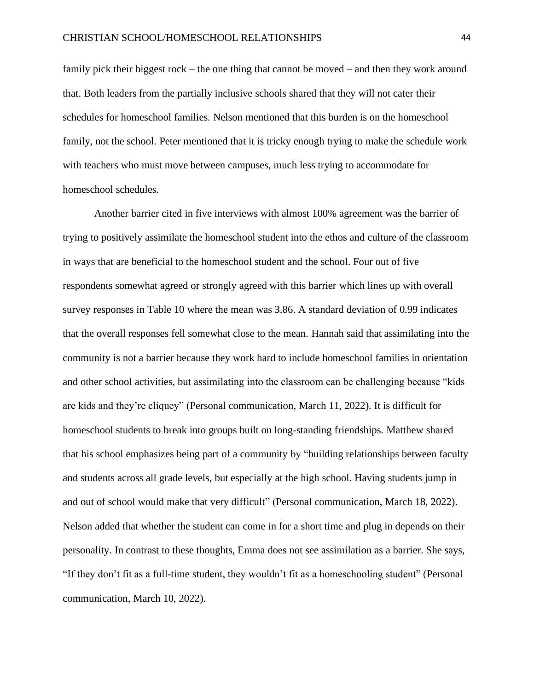family pick their biggest rock – the one thing that cannot be moved – and then they work around that. Both leaders from the partially inclusive schools shared that they will not cater their schedules for homeschool families. Nelson mentioned that this burden is on the homeschool family, not the school. Peter mentioned that it is tricky enough trying to make the schedule work with teachers who must move between campuses, much less trying to accommodate for homeschool schedules.

Another barrier cited in five interviews with almost 100% agreement was the barrier of trying to positively assimilate the homeschool student into the ethos and culture of the classroom in ways that are beneficial to the homeschool student and the school. Four out of five respondents somewhat agreed or strongly agreed with this barrier which lines up with overall survey responses in Table 10 where the mean was 3.86. A standard deviation of 0.99 indicates that the overall responses fell somewhat close to the mean. Hannah said that assimilating into the community is not a barrier because they work hard to include homeschool families in orientation and other school activities, but assimilating into the classroom can be challenging because "kids are kids and they're cliquey" (Personal communication, March 11, 2022). It is difficult for homeschool students to break into groups built on long-standing friendships. Matthew shared that his school emphasizes being part of a community by "building relationships between faculty and students across all grade levels, but especially at the high school. Having students jump in and out of school would make that very difficult" (Personal communication, March 18, 2022). Nelson added that whether the student can come in for a short time and plug in depends on their personality. In contrast to these thoughts, Emma does not see assimilation as a barrier. She says, "If they don't fit as a full-time student, they wouldn't fit as a homeschooling student" (Personal communication, March 10, 2022).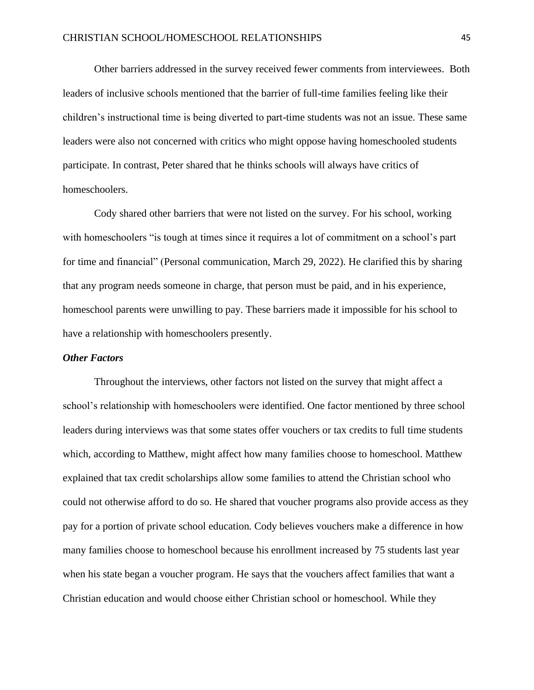Other barriers addressed in the survey received fewer comments from interviewees. Both leaders of inclusive schools mentioned that the barrier of full-time families feeling like their children's instructional time is being diverted to part-time students was not an issue. These same leaders were also not concerned with critics who might oppose having homeschooled students participate. In contrast, Peter shared that he thinks schools will always have critics of homeschoolers.

Cody shared other barriers that were not listed on the survey. For his school, working with homeschoolers "is tough at times since it requires a lot of commitment on a school's part for time and financial" (Personal communication, March 29, 2022). He clarified this by sharing that any program needs someone in charge, that person must be paid, and in his experience, homeschool parents were unwilling to pay. These barriers made it impossible for his school to have a relationship with homeschoolers presently.

### *Other Factors*

Throughout the interviews, other factors not listed on the survey that might affect a school's relationship with homeschoolers were identified. One factor mentioned by three school leaders during interviews was that some states offer vouchers or tax credits to full time students which, according to Matthew, might affect how many families choose to homeschool. Matthew explained that tax credit scholarships allow some families to attend the Christian school who could not otherwise afford to do so. He shared that voucher programs also provide access as they pay for a portion of private school education. Cody believes vouchers make a difference in how many families choose to homeschool because his enrollment increased by 75 students last year when his state began a voucher program. He says that the vouchers affect families that want a Christian education and would choose either Christian school or homeschool. While they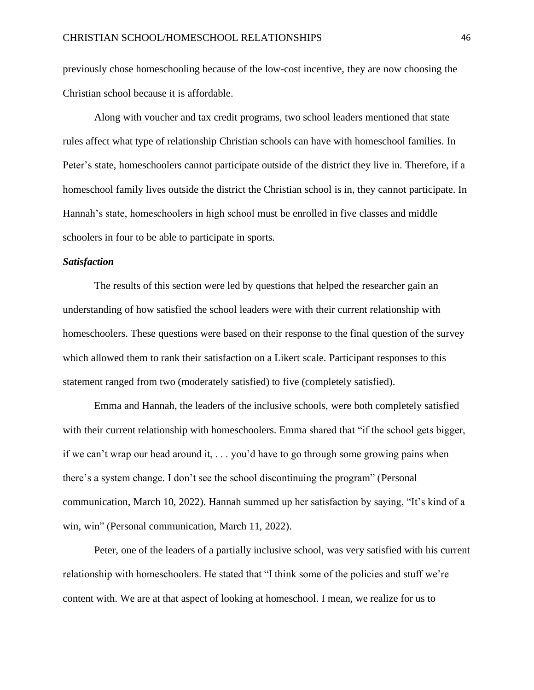previously chose homeschooling because of the low-cost incentive, they are now choosing the Christian school because it is affordable.

Along with voucher and tax credit programs, two school leaders mentioned that state rules affect what type of relationship Christian schools can have with homeschool families. In Peter's state, homeschoolers cannot participate outside of the district they live in. Therefore, if a homeschool family lives outside the district the Christian school is in, they cannot participate. In Hannah's state, homeschoolers in high school must be enrolled in five classes and middle schoolers in four to be able to participate in sports.

#### *Satisfaction*

The results of this section were led by questions that helped the researcher gain an understanding of how satisfied the school leaders were with their current relationship with homeschoolers. These questions were based on their response to the final question of the survey which allowed them to rank their satisfaction on a Likert scale. Participant responses to this statement ranged from two (moderately satisfied) to five (completely satisfied).

Emma and Hannah, the leaders of the inclusive schools, were both completely satisfied with their current relationship with homeschoolers. Emma shared that "if the school gets bigger, if we can't wrap our head around it, . . . you'd have to go through some growing pains when there's a system change. I don't see the school discontinuing the program" (Personal communication, March 10, 2022). Hannah summed up her satisfaction by saying, "It's kind of a win, win" (Personal communication, March 11, 2022).

Peter, one of the leaders of a partially inclusive school, was very satisfied with his current relationship with homeschoolers. He stated that "I think some of the policies and stuff we're content with. We are at that aspect of looking at homeschool. I mean, we realize for us to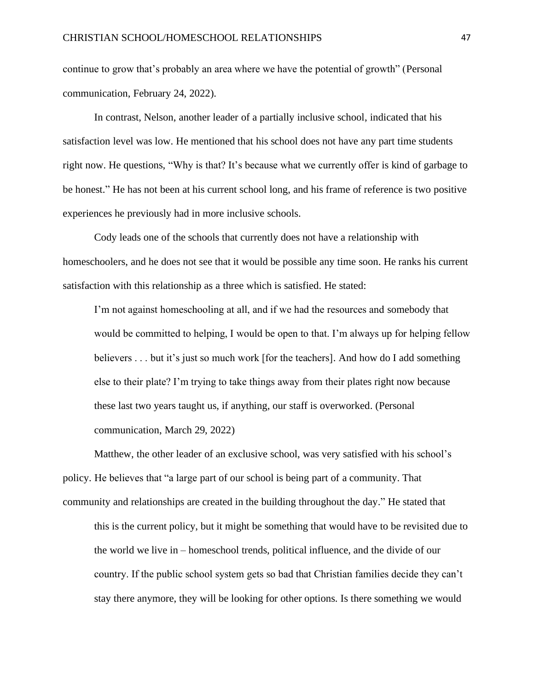continue to grow that's probably an area where we have the potential of growth" (Personal communication, February 24, 2022).

In contrast, Nelson, another leader of a partially inclusive school, indicated that his satisfaction level was low. He mentioned that his school does not have any part time students right now. He questions, "Why is that? It's because what we currently offer is kind of garbage to be honest." He has not been at his current school long, and his frame of reference is two positive experiences he previously had in more inclusive schools.

Cody leads one of the schools that currently does not have a relationship with homeschoolers, and he does not see that it would be possible any time soon. He ranks his current satisfaction with this relationship as a three which is satisfied. He stated:

I'm not against homeschooling at all, and if we had the resources and somebody that would be committed to helping, I would be open to that. I'm always up for helping fellow believers . . . but it's just so much work [for the teachers]. And how do I add something else to their plate? I'm trying to take things away from their plates right now because these last two years taught us, if anything, our staff is overworked. (Personal communication, March 29, 2022)

Matthew, the other leader of an exclusive school, was very satisfied with his school's policy. He believes that "a large part of our school is being part of a community. That community and relationships are created in the building throughout the day." He stated that this is the current policy, but it might be something that would have to be revisited due to

the world we live in – homeschool trends, political influence, and the divide of our country. If the public school system gets so bad that Christian families decide they can't stay there anymore, they will be looking for other options. Is there something we would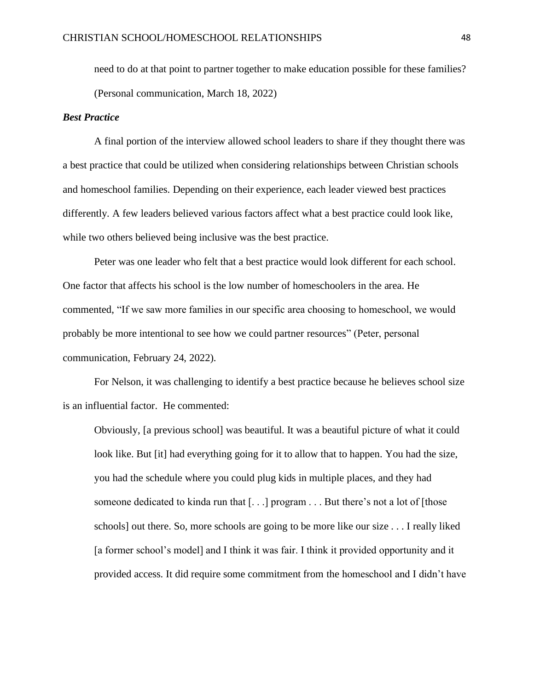need to do at that point to partner together to make education possible for these families? (Personal communication, March 18, 2022)

## *Best Practice*

A final portion of the interview allowed school leaders to share if they thought there was a best practice that could be utilized when considering relationships between Christian schools and homeschool families. Depending on their experience, each leader viewed best practices differently. A few leaders believed various factors affect what a best practice could look like, while two others believed being inclusive was the best practice.

Peter was one leader who felt that a best practice would look different for each school. One factor that affects his school is the low number of homeschoolers in the area. He commented, "If we saw more families in our specific area choosing to homeschool, we would probably be more intentional to see how we could partner resources" (Peter, personal communication, February 24, 2022).

For Nelson, it was challenging to identify a best practice because he believes school size is an influential factor. He commented:

Obviously, [a previous school] was beautiful. It was a beautiful picture of what it could look like. But [it] had everything going for it to allow that to happen. You had the size, you had the schedule where you could plug kids in multiple places, and they had someone dedicated to kinda run that [. . .] program . . . But there's not a lot of [those schools] out there. So, more schools are going to be more like our size . . . I really liked [a former school's model] and I think it was fair. I think it provided opportunity and it provided access. It did require some commitment from the homeschool and I didn't have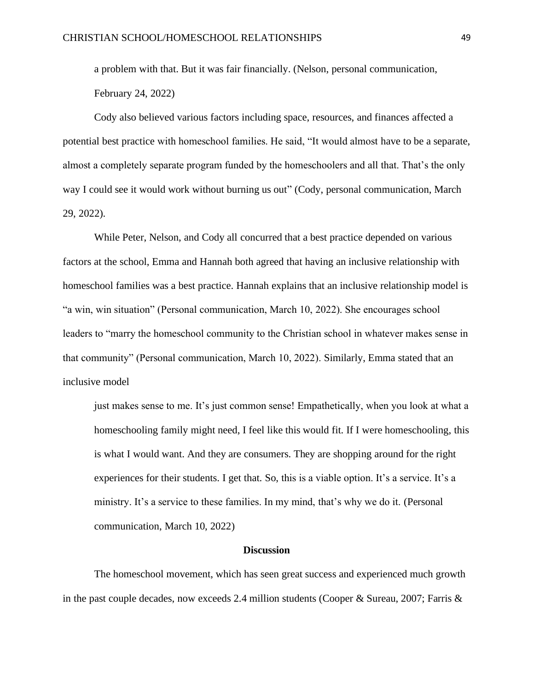a problem with that. But it was fair financially. (Nelson, personal communication,

February 24, 2022)

Cody also believed various factors including space, resources, and finances affected a potential best practice with homeschool families. He said, "It would almost have to be a separate, almost a completely separate program funded by the homeschoolers and all that. That's the only way I could see it would work without burning us out" (Cody, personal communication, March 29, 2022).

While Peter, Nelson, and Cody all concurred that a best practice depended on various factors at the school, Emma and Hannah both agreed that having an inclusive relationship with homeschool families was a best practice. Hannah explains that an inclusive relationship model is "a win, win situation" (Personal communication, March 10, 2022). She encourages school leaders to "marry the homeschool community to the Christian school in whatever makes sense in that community" (Personal communication, March 10, 2022). Similarly, Emma stated that an inclusive model

just makes sense to me. It's just common sense! Empathetically, when you look at what a homeschooling family might need, I feel like this would fit. If I were homeschooling, this is what I would want. And they are consumers. They are shopping around for the right experiences for their students. I get that. So, this is a viable option. It's a service. It's a ministry. It's a service to these families. In my mind, that's why we do it. (Personal communication, March 10, 2022)

#### **Discussion**

The homeschool movement, which has seen great success and experienced much growth in the past couple decades, now exceeds 2.4 million students (Cooper & Sureau, 2007; Farris &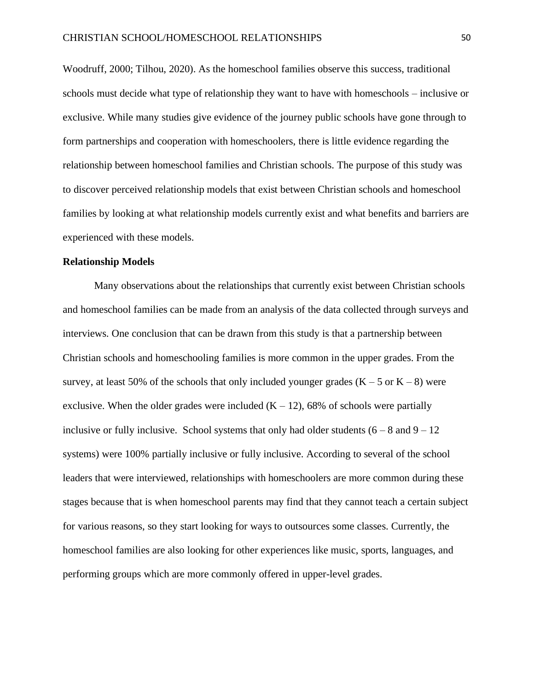Woodruff, 2000; Tilhou, 2020). As the homeschool families observe this success, traditional schools must decide what type of relationship they want to have with homeschools – inclusive or exclusive. While many studies give evidence of the journey public schools have gone through to form partnerships and cooperation with homeschoolers, there is little evidence regarding the relationship between homeschool families and Christian schools. The purpose of this study was to discover perceived relationship models that exist between Christian schools and homeschool families by looking at what relationship models currently exist and what benefits and barriers are experienced with these models.

#### **Relationship Models**

Many observations about the relationships that currently exist between Christian schools and homeschool families can be made from an analysis of the data collected through surveys and interviews. One conclusion that can be drawn from this study is that a partnership between Christian schools and homeschooling families is more common in the upper grades. From the survey, at least 50% of the schools that only included younger grades  $(K - 5 \text{ or } K - 8)$  were exclusive. When the older grades were included  $(K - 12)$ , 68% of schools were partially inclusive or fully inclusive. School systems that only had older students  $(6 - 8 \text{ and } 9 - 12)$ systems) were 100% partially inclusive or fully inclusive. According to several of the school leaders that were interviewed, relationships with homeschoolers are more common during these stages because that is when homeschool parents may find that they cannot teach a certain subject for various reasons, so they start looking for ways to outsources some classes. Currently, the homeschool families are also looking for other experiences like music, sports, languages, and performing groups which are more commonly offered in upper-level grades.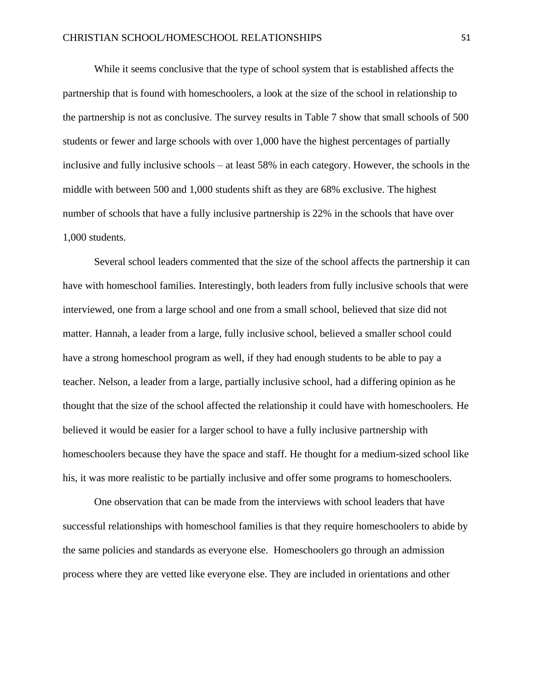While it seems conclusive that the type of school system that is established affects the partnership that is found with homeschoolers, a look at the size of the school in relationship to the partnership is not as conclusive. The survey results in Table 7 show that small schools of 500 students or fewer and large schools with over 1,000 have the highest percentages of partially inclusive and fully inclusive schools – at least 58% in each category. However, the schools in the middle with between 500 and 1,000 students shift as they are 68% exclusive. The highest number of schools that have a fully inclusive partnership is 22% in the schools that have over 1,000 students.

Several school leaders commented that the size of the school affects the partnership it can have with homeschool families. Interestingly, both leaders from fully inclusive schools that were interviewed, one from a large school and one from a small school, believed that size did not matter. Hannah, a leader from a large, fully inclusive school, believed a smaller school could have a strong homeschool program as well, if they had enough students to be able to pay a teacher. Nelson, a leader from a large, partially inclusive school, had a differing opinion as he thought that the size of the school affected the relationship it could have with homeschoolers. He believed it would be easier for a larger school to have a fully inclusive partnership with homeschoolers because they have the space and staff. He thought for a medium-sized school like his, it was more realistic to be partially inclusive and offer some programs to homeschoolers.

One observation that can be made from the interviews with school leaders that have successful relationships with homeschool families is that they require homeschoolers to abide by the same policies and standards as everyone else. Homeschoolers go through an admission process where they are vetted like everyone else. They are included in orientations and other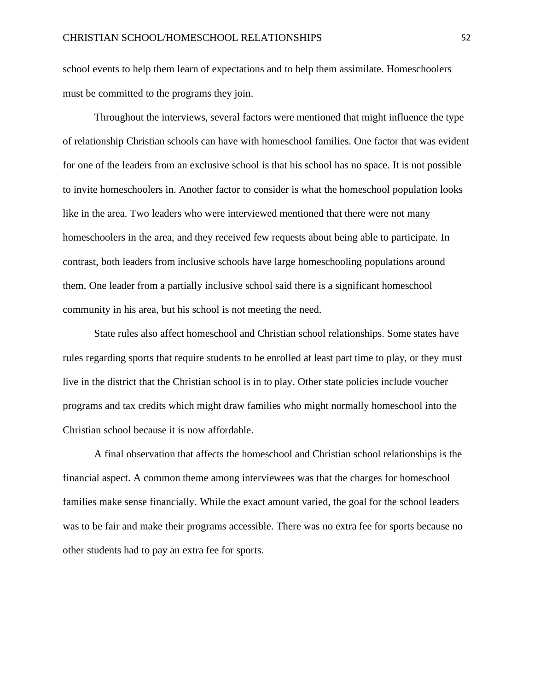school events to help them learn of expectations and to help them assimilate. Homeschoolers must be committed to the programs they join.

Throughout the interviews, several factors were mentioned that might influence the type of relationship Christian schools can have with homeschool families. One factor that was evident for one of the leaders from an exclusive school is that his school has no space. It is not possible to invite homeschoolers in. Another factor to consider is what the homeschool population looks like in the area. Two leaders who were interviewed mentioned that there were not many homeschoolers in the area, and they received few requests about being able to participate. In contrast, both leaders from inclusive schools have large homeschooling populations around them. One leader from a partially inclusive school said there is a significant homeschool community in his area, but his school is not meeting the need.

State rules also affect homeschool and Christian school relationships. Some states have rules regarding sports that require students to be enrolled at least part time to play, or they must live in the district that the Christian school is in to play. Other state policies include voucher programs and tax credits which might draw families who might normally homeschool into the Christian school because it is now affordable.

A final observation that affects the homeschool and Christian school relationships is the financial aspect. A common theme among interviewees was that the charges for homeschool families make sense financially. While the exact amount varied, the goal for the school leaders was to be fair and make their programs accessible. There was no extra fee for sports because no other students had to pay an extra fee for sports.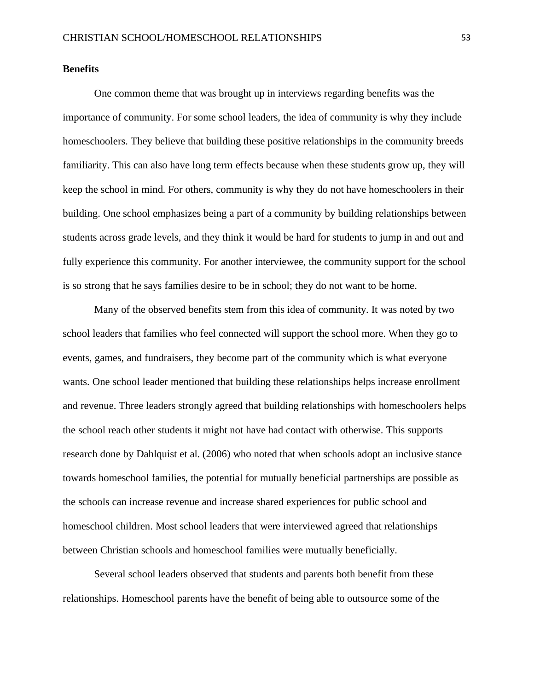## **Benefits**

One common theme that was brought up in interviews regarding benefits was the importance of community. For some school leaders, the idea of community is why they include homeschoolers. They believe that building these positive relationships in the community breeds familiarity. This can also have long term effects because when these students grow up, they will keep the school in mind. For others, community is why they do not have homeschoolers in their building. One school emphasizes being a part of a community by building relationships between students across grade levels, and they think it would be hard for students to jump in and out and fully experience this community. For another interviewee, the community support for the school is so strong that he says families desire to be in school; they do not want to be home.

Many of the observed benefits stem from this idea of community. It was noted by two school leaders that families who feel connected will support the school more. When they go to events, games, and fundraisers, they become part of the community which is what everyone wants. One school leader mentioned that building these relationships helps increase enrollment and revenue. Three leaders strongly agreed that building relationships with homeschoolers helps the school reach other students it might not have had contact with otherwise. This supports research done by Dahlquist et al. (2006) who noted that when schools adopt an inclusive stance towards homeschool families, the potential for mutually beneficial partnerships are possible as the schools can increase revenue and increase shared experiences for public school and homeschool children. Most school leaders that were interviewed agreed that relationships between Christian schools and homeschool families were mutually beneficially.

Several school leaders observed that students and parents both benefit from these relationships. Homeschool parents have the benefit of being able to outsource some of the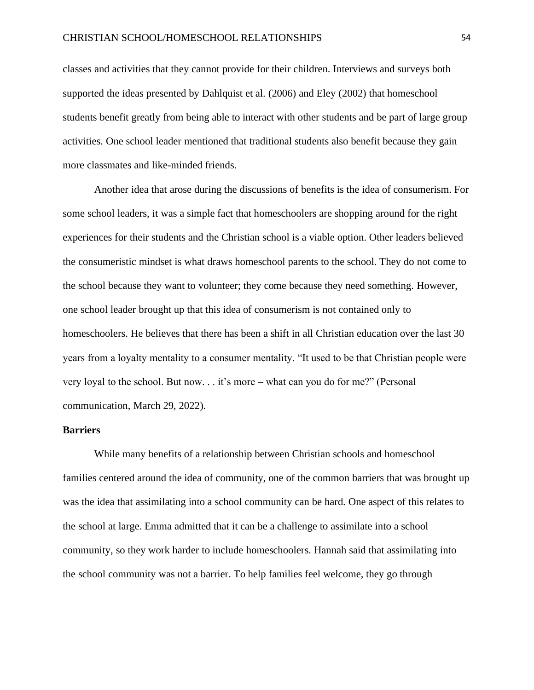classes and activities that they cannot provide for their children. Interviews and surveys both supported the ideas presented by Dahlquist et al. (2006) and Eley (2002) that homeschool students benefit greatly from being able to interact with other students and be part of large group activities. One school leader mentioned that traditional students also benefit because they gain more classmates and like-minded friends.

Another idea that arose during the discussions of benefits is the idea of consumerism. For some school leaders, it was a simple fact that homeschoolers are shopping around for the right experiences for their students and the Christian school is a viable option. Other leaders believed the consumeristic mindset is what draws homeschool parents to the school. They do not come to the school because they want to volunteer; they come because they need something. However, one school leader brought up that this idea of consumerism is not contained only to homeschoolers. He believes that there has been a shift in all Christian education over the last 30 years from a loyalty mentality to a consumer mentality. "It used to be that Christian people were very loyal to the school. But now. . . it's more – what can you do for me?" (Personal communication, March 29, 2022).

## **Barriers**

While many benefits of a relationship between Christian schools and homeschool families centered around the idea of community, one of the common barriers that was brought up was the idea that assimilating into a school community can be hard. One aspect of this relates to the school at large. Emma admitted that it can be a challenge to assimilate into a school community, so they work harder to include homeschoolers. Hannah said that assimilating into the school community was not a barrier. To help families feel welcome, they go through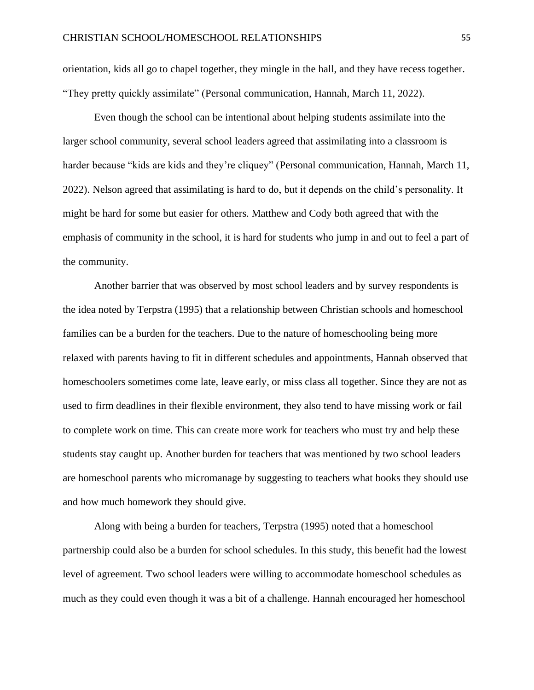orientation, kids all go to chapel together, they mingle in the hall, and they have recess together. "They pretty quickly assimilate" (Personal communication, Hannah, March 11, 2022).

Even though the school can be intentional about helping students assimilate into the larger school community, several school leaders agreed that assimilating into a classroom is harder because "kids are kids and they're cliquey" (Personal communication, Hannah, March 11, 2022). Nelson agreed that assimilating is hard to do, but it depends on the child's personality. It might be hard for some but easier for others. Matthew and Cody both agreed that with the emphasis of community in the school, it is hard for students who jump in and out to feel a part of the community.

Another barrier that was observed by most school leaders and by survey respondents is the idea noted by Terpstra (1995) that a relationship between Christian schools and homeschool families can be a burden for the teachers. Due to the nature of homeschooling being more relaxed with parents having to fit in different schedules and appointments, Hannah observed that homeschoolers sometimes come late, leave early, or miss class all together. Since they are not as used to firm deadlines in their flexible environment, they also tend to have missing work or fail to complete work on time. This can create more work for teachers who must try and help these students stay caught up. Another burden for teachers that was mentioned by two school leaders are homeschool parents who micromanage by suggesting to teachers what books they should use and how much homework they should give.

Along with being a burden for teachers, Terpstra (1995) noted that a homeschool partnership could also be a burden for school schedules. In this study, this benefit had the lowest level of agreement. Two school leaders were willing to accommodate homeschool schedules as much as they could even though it was a bit of a challenge. Hannah encouraged her homeschool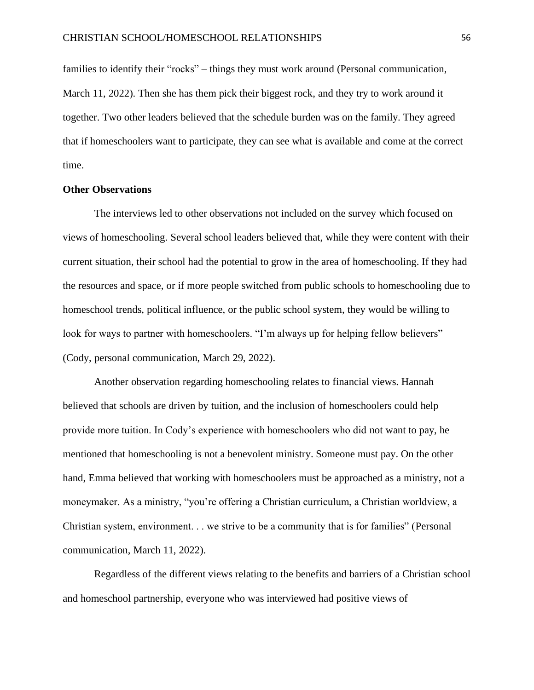families to identify their "rocks" – things they must work around (Personal communication, March 11, 2022). Then she has them pick their biggest rock, and they try to work around it together. Two other leaders believed that the schedule burden was on the family. They agreed that if homeschoolers want to participate, they can see what is available and come at the correct time.

## **Other Observations**

The interviews led to other observations not included on the survey which focused on views of homeschooling. Several school leaders believed that, while they were content with their current situation, their school had the potential to grow in the area of homeschooling. If they had the resources and space, or if more people switched from public schools to homeschooling due to homeschool trends, political influence, or the public school system, they would be willing to look for ways to partner with homeschoolers. "I'm always up for helping fellow believers" (Cody, personal communication, March 29, 2022).

Another observation regarding homeschooling relates to financial views. Hannah believed that schools are driven by tuition, and the inclusion of homeschoolers could help provide more tuition. In Cody's experience with homeschoolers who did not want to pay, he mentioned that homeschooling is not a benevolent ministry. Someone must pay. On the other hand, Emma believed that working with homeschoolers must be approached as a ministry, not a moneymaker. As a ministry, "you're offering a Christian curriculum, a Christian worldview, a Christian system, environment. . . we strive to be a community that is for families" (Personal communication, March 11, 2022).

Regardless of the different views relating to the benefits and barriers of a Christian school and homeschool partnership, everyone who was interviewed had positive views of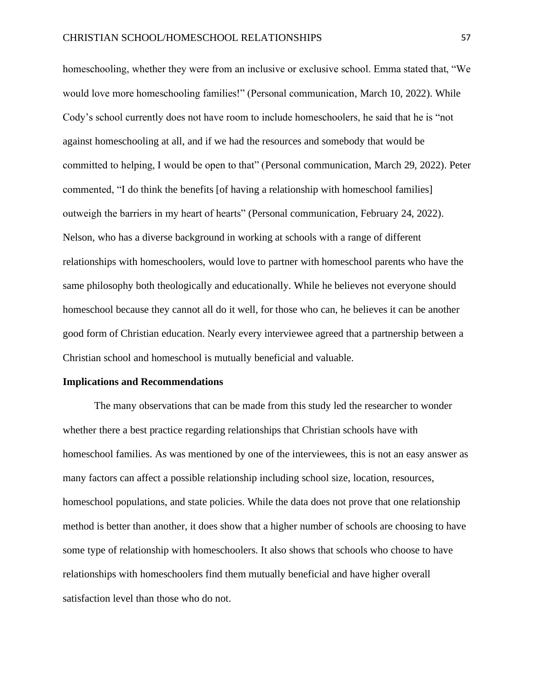homeschooling, whether they were from an inclusive or exclusive school. Emma stated that, "We would love more homeschooling families!" (Personal communication, March 10, 2022). While Cody's school currently does not have room to include homeschoolers, he said that he is "not against homeschooling at all, and if we had the resources and somebody that would be committed to helping, I would be open to that" (Personal communication, March 29, 2022). Peter commented, "I do think the benefits [of having a relationship with homeschool families] outweigh the barriers in my heart of hearts" (Personal communication, February 24, 2022). Nelson, who has a diverse background in working at schools with a range of different relationships with homeschoolers, would love to partner with homeschool parents who have the same philosophy both theologically and educationally. While he believes not everyone should homeschool because they cannot all do it well, for those who can, he believes it can be another good form of Christian education. Nearly every interviewee agreed that a partnership between a Christian school and homeschool is mutually beneficial and valuable.

### **Implications and Recommendations**

The many observations that can be made from this study led the researcher to wonder whether there a best practice regarding relationships that Christian schools have with homeschool families. As was mentioned by one of the interviewees, this is not an easy answer as many factors can affect a possible relationship including school size, location, resources, homeschool populations, and state policies. While the data does not prove that one relationship method is better than another, it does show that a higher number of schools are choosing to have some type of relationship with homeschoolers. It also shows that schools who choose to have relationships with homeschoolers find them mutually beneficial and have higher overall satisfaction level than those who do not.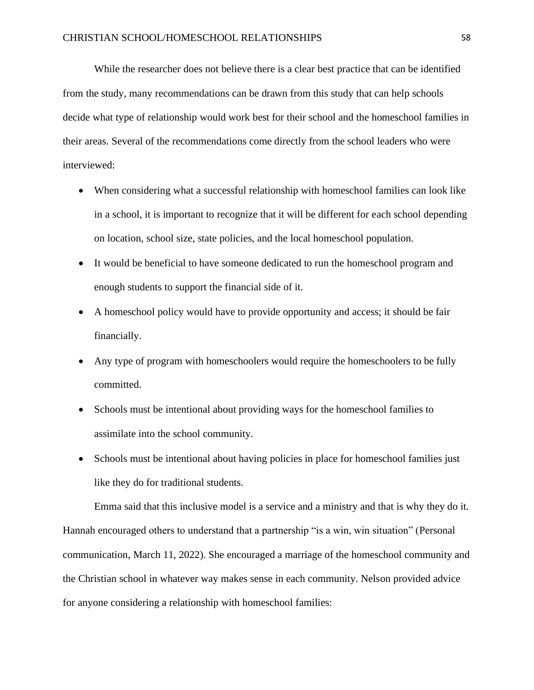While the researcher does not believe there is a clear best practice that can be identified from the study, many recommendations can be drawn from this study that can help schools decide what type of relationship would work best for their school and the homeschool families in their areas. Several of the recommendations come directly from the school leaders who were interviewed:

- When considering what a successful relationship with homeschool families can look like in a school, it is important to recognize that it will be different for each school depending on location, school size, state policies, and the local homeschool population.
- It would be beneficial to have someone dedicated to run the homeschool program and enough students to support the financial side of it.
- A homeschool policy would have to provide opportunity and access; it should be fair financially.
- Any type of program with homeschoolers would require the homeschoolers to be fully committed.
- Schools must be intentional about providing ways for the homeschool families to assimilate into the school community.
- Schools must be intentional about having policies in place for homeschool families just like they do for traditional students.

Emma said that this inclusive model is a service and a ministry and that is why they do it. Hannah encouraged others to understand that a partnership "is a win, win situation" (Personal communication, March 11, 2022). She encouraged a marriage of the homeschool community and the Christian school in whatever way makes sense in each community. Nelson provided advice for anyone considering a relationship with homeschool families: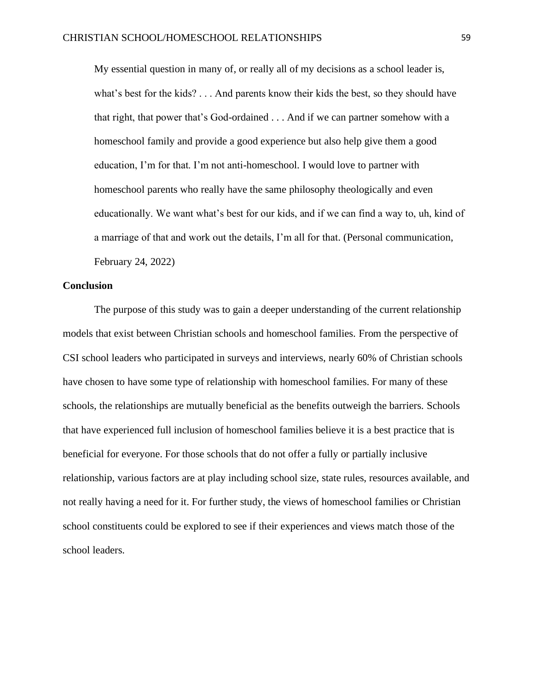My essential question in many of, or really all of my decisions as a school leader is, what's best for the kids? . . . And parents know their kids the best, so they should have that right, that power that's God-ordained . . . And if we can partner somehow with a homeschool family and provide a good experience but also help give them a good education, I'm for that. I'm not anti-homeschool. I would love to partner with homeschool parents who really have the same philosophy theologically and even educationally. We want what's best for our kids, and if we can find a way to, uh, kind of a marriage of that and work out the details, I'm all for that. (Personal communication, February 24, 2022)

## **Conclusion**

The purpose of this study was to gain a deeper understanding of the current relationship models that exist between Christian schools and homeschool families. From the perspective of CSI school leaders who participated in surveys and interviews, nearly 60% of Christian schools have chosen to have some type of relationship with homeschool families. For many of these schools, the relationships are mutually beneficial as the benefits outweigh the barriers. Schools that have experienced full inclusion of homeschool families believe it is a best practice that is beneficial for everyone. For those schools that do not offer a fully or partially inclusive relationship, various factors are at play including school size, state rules, resources available, and not really having a need for it. For further study, the views of homeschool families or Christian school constituents could be explored to see if their experiences and views match those of the school leaders.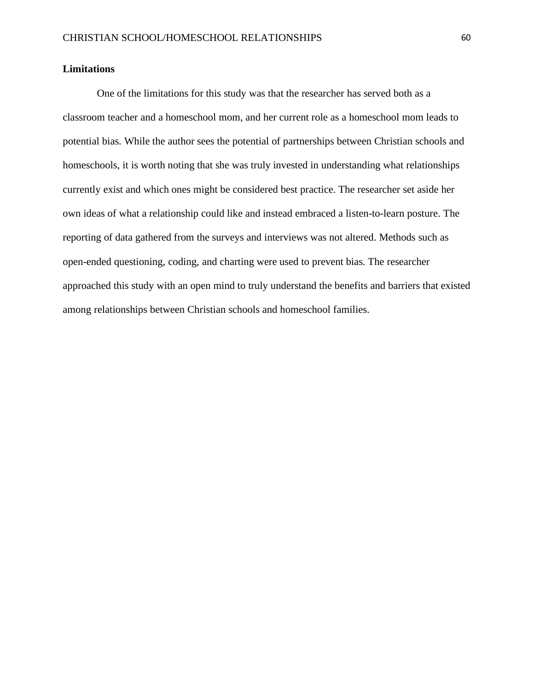## **Limitations**

One of the limitations for this study was that the researcher has served both as a classroom teacher and a homeschool mom, and her current role as a homeschool mom leads to potential bias. While the author sees the potential of partnerships between Christian schools and homeschools, it is worth noting that she was truly invested in understanding what relationships currently exist and which ones might be considered best practice. The researcher set aside her own ideas of what a relationship could like and instead embraced a listen-to-learn posture. The reporting of data gathered from the surveys and interviews was not altered. Methods such as open-ended questioning, coding, and charting were used to prevent bias. The researcher approached this study with an open mind to truly understand the benefits and barriers that existed among relationships between Christian schools and homeschool families.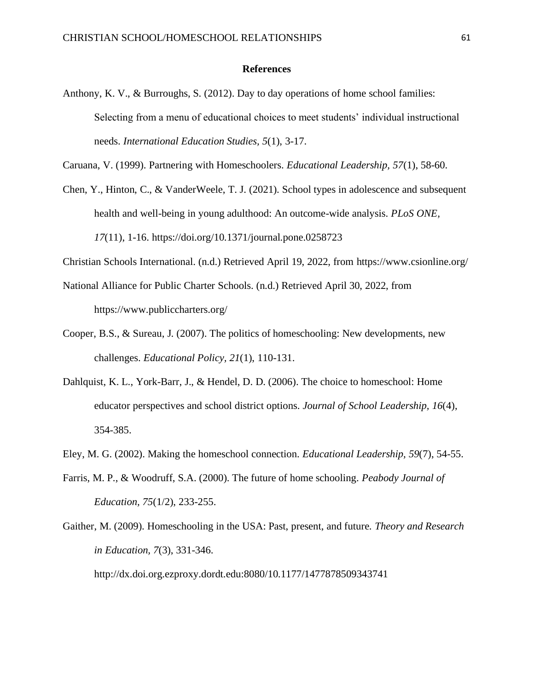## **References**

Anthony, K. V., & Burroughs, S. (2012). Day to day operations of home school families: Selecting from a menu of educational choices to meet students' individual instructional needs. *International Education Studies, 5*(1), 3-17.

Caruana, V. (1999). Partnering with Homeschoolers. *Educational Leadership, 57*(1), 58-60.

Chen, Y., Hinton, C., & VanderWeele, T. J. (2021). School types in adolescence and subsequent health and well-being in young adulthood: An outcome-wide analysis. *PLoS ONE, 17*(11), 1-16. https://doi.org/10.1371/journal.pone.0258723

Christian Schools International. (n.d.) Retrieved April 19, 2022, from https://www.csionline.org/

- National Alliance for Public Charter Schools. (n.d.) Retrieved April 30, 2022, from https://www.publiccharters.org/
- Cooper, B.S., & Sureau, J. (2007). The politics of homeschooling: New developments, new challenges. *Educational Policy, 21*(1), 110-131.
- Dahlquist, K. L., York-Barr, J., & Hendel, D. D. (2006). The choice to homeschool: Home educator perspectives and school district options. *Journal of School Leadership, 16*(4), 354-385.
- Eley, M. G. (2002). Making the homeschool connection. *Educational Leadership, 59*(7), 54-55.
- Farris, M. P., & Woodruff, S.A. (2000). The future of home schooling. *Peabody Journal of Education, 75*(1/2), 233-255.

Gaither, M. (2009). Homeschooling in the USA: Past, present, and future. *Theory and Research in Education, 7*(3), 331-346. <http://dx.doi.org.ezproxy.dordt.edu:8080/10.1177/1477878509343741>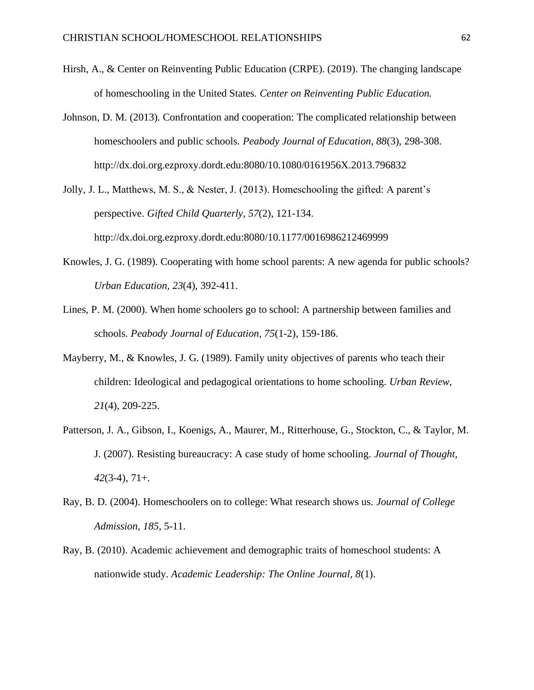- Hirsh, A., & Center on Reinventing Public Education (CRPE). (2019). The changing landscape of homeschooling in the United States. *Center on Reinventing Public Education.*
- Johnson, D. M. (2013). Confrontation and cooperation: The complicated relationship between homeschoolers and public schools. *Peabody Journal of Education, 88*(3), 298-308. http://dx.doi.org.ezproxy.dordt.edu:8080/10.1080/0161956X.2013.796832
- Jolly, J. L., Matthews, M. S., & Nester, J. (2013). Homeschooling the gifted: A parent's perspective. *Gifted Child Quarterly, 57*(2), 121-134. <http://dx.doi.org.ezproxy.dordt.edu:8080/10.1177/0016986212469999>
- Knowles, J. G. (1989). Cooperating with home school parents: A new agenda for public schools? *Urban Education, 23*(4), 392-411.
- Lines, P. M. (2000). When home schoolers go to school: A partnership between families and schools. *Peabody Journal of Education, 75*(1-2), 159-186.
- Mayberry, M., & Knowles, J. G. (1989). Family unity objectives of parents who teach their children: Ideological and pedagogical orientations to home schooling. *Urban Review, 21*(4), 209-225.
- Patterson, J. A., Gibson, I., Koenigs, A., Maurer, M., Ritterhouse, G., Stockton, C., & Taylor, M. J. (2007). Resisting bureaucracy: A case study of home schooling. *Journal of Thought, 42*(3-4), 71+.
- Ray, B. D. (2004). Homeschoolers on to college: What research shows us. *Journal of College Admission, 185*, 5-11.
- Ray, B. (2010). Academic achievement and demographic traits of homeschool students: A nationwide study. *Academic Leadership: The Online Journal, 8*(1).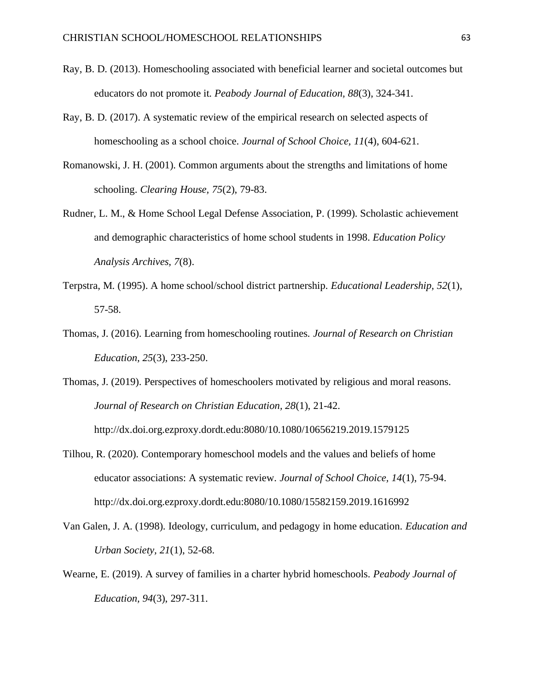- Ray, B. D. (2013). Homeschooling associated with beneficial learner and societal outcomes but educators do not promote it. *Peabody Journal of Education, 88*(3), 324-341.
- Ray, B. D. (2017). A systematic review of the empirical research on selected aspects of homeschooling as a school choice. *Journal of School Choice, 11*(4), 604-621.
- Romanowski, J. H. (2001). Common arguments about the strengths and limitations of home schooling. *Clearing House, 75*(2), 79-83.
- Rudner, L. M., & Home School Legal Defense Association, P. (1999). Scholastic achievement and demographic characteristics of home school students in 1998. *Education Policy Analysis Archives, 7*(8).
- Terpstra, M. (1995). A home school/school district partnership. *Educational Leadership, 52*(1), 57-58.
- Thomas, J. (2016). Learning from homeschooling routines. *Journal of Research on Christian Education, 25*(3), 233-250.
- Thomas, J. (2019). Perspectives of homeschoolers motivated by religious and moral reasons. *Journal of Research on Christian Education, 28*(1), 21-42.
	- <http://dx.doi.org.ezproxy.dordt.edu:8080/10.1080/10656219.2019.1579125>
- Tilhou, R. (2020). Contemporary homeschool models and the values and beliefs of home educator associations: A systematic review. *Journal of School Choice, 14*(1), 75-94. <http://dx.doi.org.ezproxy.dordt.edu:8080/10.1080/15582159.2019.1616992>
- Van Galen, J. A. (1998). Ideology, curriculum, and pedagogy in home education. *Education and Urban Society, 21*(1), 52-68.
- Wearne, E. (2019). A survey of families in a charter hybrid homeschools. *Peabody Journal of Education, 94*(3), 297-311.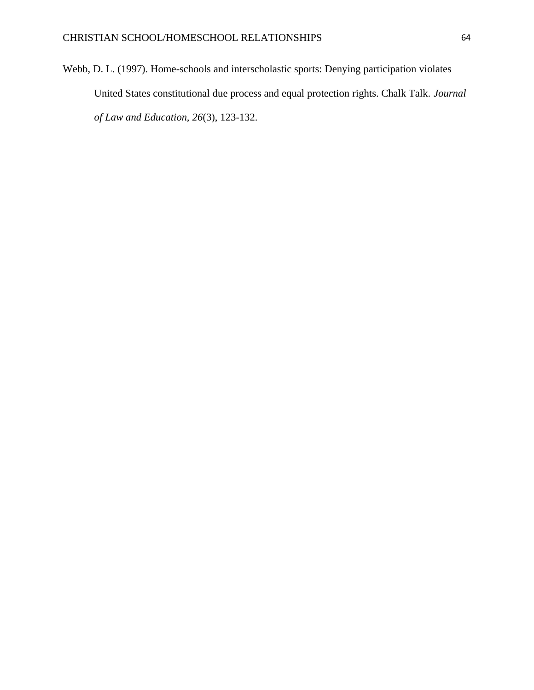Webb, D. L. (1997). Home-schools and interscholastic sports: Denying participation violates United States constitutional due process and equal protection rights. Chalk Talk. *Journal of Law and Education, 26*(3), 123-132.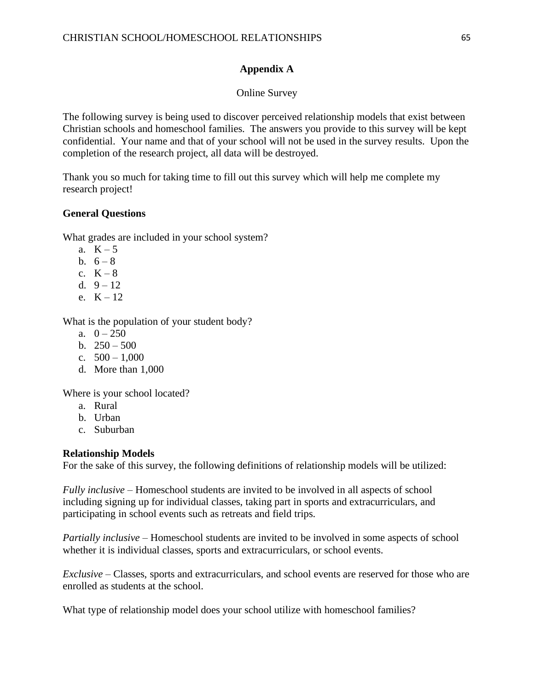# **Appendix A**

## Online Survey

The following survey is being used to discover perceived relationship models that exist between Christian schools and homeschool families. The answers you provide to this survey will be kept confidential. Your name and that of your school will not be used in the survey results. Upon the completion of the research project, all data will be destroyed.

Thank you so much for taking time to fill out this survey which will help me complete my research project!

## **General Questions**

What grades are included in your school system?

- a.  $K-5$
- b.  $6 8$
- c.  $K 8$
- d.  $9 12$
- e.  $K = 12$ .

What is the population of your student body?

- a.  $0 250$
- b.  $250 500$
- c.  $500 1,000$
- d. More than 1,000

Where is your school located?

- a. Rural
- b. Urban
- c. Suburban

## **Relationship Models**

For the sake of this survey, the following definitions of relationship models will be utilized:

*Fully inclusive* – Homeschool students are invited to be involved in all aspects of school including signing up for individual classes, taking part in sports and extracurriculars, and participating in school events such as retreats and field trips.

*Partially inclusive* – Homeschool students are invited to be involved in some aspects of school whether it is individual classes, sports and extracurriculars, or school events.

*Exclusive* – Classes, sports and extracurriculars, and school events are reserved for those who are enrolled as students at the school.

What type of relationship model does your school utilize with homeschool families?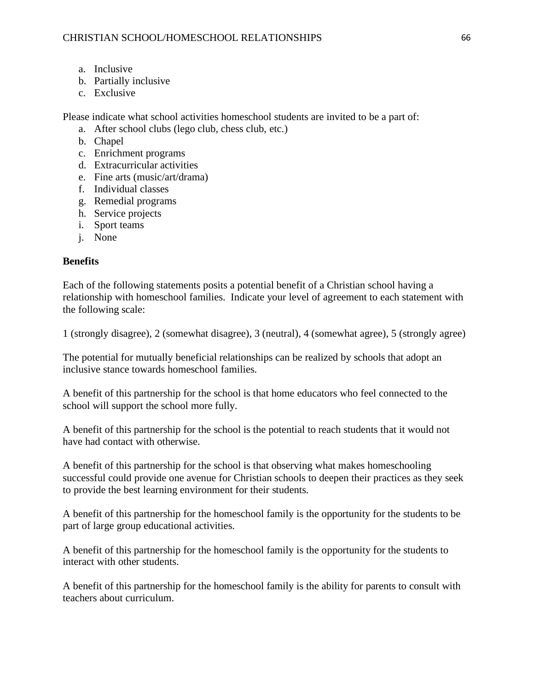- a. Inclusive
- b. Partially inclusive
- c. Exclusive

Please indicate what school activities homeschool students are invited to be a part of:

- a. After school clubs (lego club, chess club, etc.)
- b. Chapel
- c. Enrichment programs
- d. Extracurricular activities
- e. Fine arts (music/art/drama)
- f. Individual classes
- g. Remedial programs
- h. Service projects
- i. Sport teams
- j. None

# **Benefits**

Each of the following statements posits a potential benefit of a Christian school having a relationship with homeschool families. Indicate your level of agreement to each statement with the following scale:

1 (strongly disagree), 2 (somewhat disagree), 3 (neutral), 4 (somewhat agree), 5 (strongly agree)

The potential for mutually beneficial relationships can be realized by schools that adopt an inclusive stance towards homeschool families.

A benefit of this partnership for the school is that home educators who feel connected to the school will support the school more fully.

A benefit of this partnership for the school is the potential to reach students that it would not have had contact with otherwise.

A benefit of this partnership for the school is that observing what makes homeschooling successful could provide one avenue for Christian schools to deepen their practices as they seek to provide the best learning environment for their students.

A benefit of this partnership for the homeschool family is the opportunity for the students to be part of large group educational activities.

A benefit of this partnership for the homeschool family is the opportunity for the students to interact with other students.

A benefit of this partnership for the homeschool family is the ability for parents to consult with teachers about curriculum.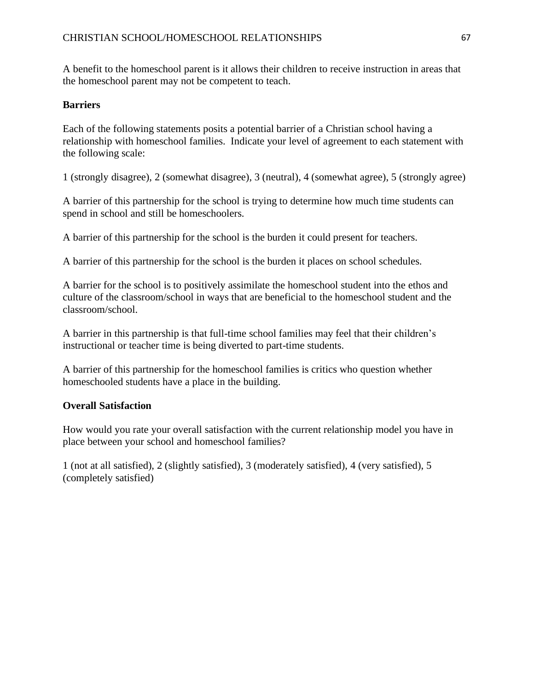A benefit to the homeschool parent is it allows their children to receive instruction in areas that the homeschool parent may not be competent to teach.

## **Barriers**

Each of the following statements posits a potential barrier of a Christian school having a relationship with homeschool families. Indicate your level of agreement to each statement with the following scale:

1 (strongly disagree), 2 (somewhat disagree), 3 (neutral), 4 (somewhat agree), 5 (strongly agree)

A barrier of this partnership for the school is trying to determine how much time students can spend in school and still be homeschoolers.

A barrier of this partnership for the school is the burden it could present for teachers.

A barrier of this partnership for the school is the burden it places on school schedules.

A barrier for the school is to positively assimilate the homeschool student into the ethos and culture of the classroom/school in ways that are beneficial to the homeschool student and the classroom/school.

A barrier in this partnership is that full-time school families may feel that their children's instructional or teacher time is being diverted to part-time students.

A barrier of this partnership for the homeschool families is critics who question whether homeschooled students have a place in the building.

# **Overall Satisfaction**

How would you rate your overall satisfaction with the current relationship model you have in place between your school and homeschool families?

1 (not at all satisfied), 2 (slightly satisfied), 3 (moderately satisfied), 4 (very satisfied), 5 (completely satisfied)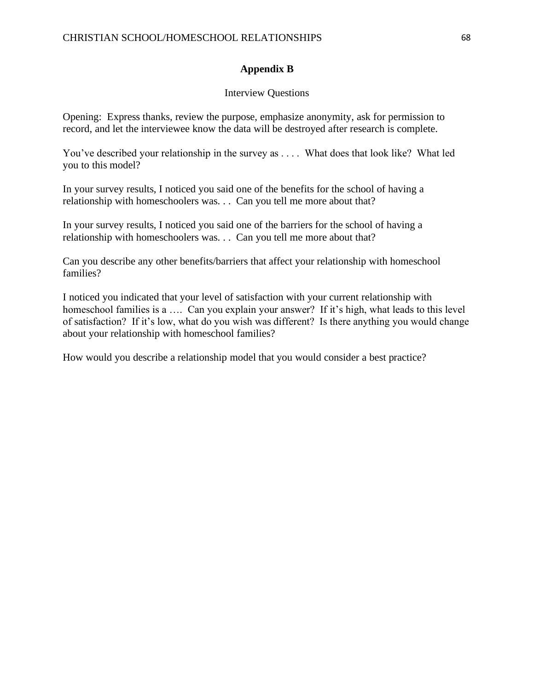## **Appendix B**

## Interview Questions

Opening: Express thanks, review the purpose, emphasize anonymity, ask for permission to record, and let the interviewee know the data will be destroyed after research is complete.

You've described your relationship in the survey as .... What does that look like? What led you to this model?

In your survey results, I noticed you said one of the benefits for the school of having a relationship with homeschoolers was. . . Can you tell me more about that?

In your survey results, I noticed you said one of the barriers for the school of having a relationship with homeschoolers was. . . Can you tell me more about that?

Can you describe any other benefits/barriers that affect your relationship with homeschool families?

I noticed you indicated that your level of satisfaction with your current relationship with homeschool families is a .... Can you explain your answer? If it's high, what leads to this level of satisfaction? If it's low, what do you wish was different? Is there anything you would change about your relationship with homeschool families?

How would you describe a relationship model that you would consider a best practice?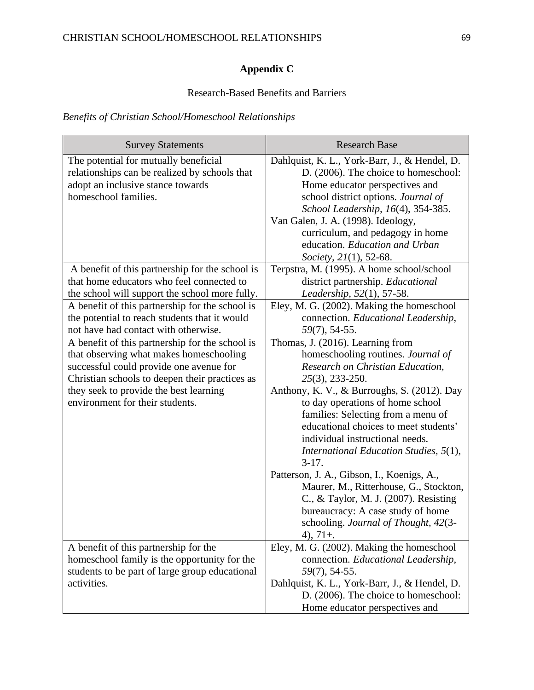# **Appendix C**

# Research-Based Benefits and Barriers

# *Benefits of Christian School/Homeschool Relationships*

| <b>Survey Statements</b>                                                                                                                                                                                                                                             | <b>Research Base</b>                                                                                                                                                                                                                                                                                                                                                                                                                                                                                                                                                                                                 |
|----------------------------------------------------------------------------------------------------------------------------------------------------------------------------------------------------------------------------------------------------------------------|----------------------------------------------------------------------------------------------------------------------------------------------------------------------------------------------------------------------------------------------------------------------------------------------------------------------------------------------------------------------------------------------------------------------------------------------------------------------------------------------------------------------------------------------------------------------------------------------------------------------|
| The potential for mutually beneficial<br>relationships can be realized by schools that<br>adopt an inclusive stance towards<br>homeschool families.                                                                                                                  | Dahlquist, K. L., York-Barr, J., & Hendel, D.<br>D. (2006). The choice to homeschool:<br>Home educator perspectives and<br>school district options. Journal of<br>School Leadership, 16(4), 354-385.<br>Van Galen, J. A. (1998). Ideology,<br>curriculum, and pedagogy in home<br>education. Education and Urban<br>Society, 21(1), 52-68.                                                                                                                                                                                                                                                                           |
| A benefit of this partnership for the school is<br>that home educators who feel connected to<br>the school will support the school more fully.                                                                                                                       | Terpstra, M. (1995). A home school/school<br>district partnership. Educational<br>Leadership, 52(1), 57-58.                                                                                                                                                                                                                                                                                                                                                                                                                                                                                                          |
| A benefit of this partnership for the school is<br>the potential to reach students that it would<br>not have had contact with otherwise.                                                                                                                             | Eley, M. G. (2002). Making the homeschool<br>connection. Educational Leadership,<br>$59(7)$ , 54-55.                                                                                                                                                                                                                                                                                                                                                                                                                                                                                                                 |
| A benefit of this partnership for the school is<br>that observing what makes homeschooling<br>successful could provide one avenue for<br>Christian schools to deepen their practices as<br>they seek to provide the best learning<br>environment for their students. | Thomas, J. (2016). Learning from<br>homeschooling routines. Journal of<br>Research on Christian Education,<br>25(3), 233-250.<br>Anthony, K. V., & Burroughs, S. (2012). Day<br>to day operations of home school<br>families: Selecting from a menu of<br>educational choices to meet students'<br>individual instructional needs.<br>International Education Studies, 5(1),<br>$3-17.$<br>Patterson, J. A., Gibson, I., Koenigs, A.,<br>Maurer, M., Ritterhouse, G., Stockton,<br>C., & Taylor, M. J. (2007). Resisting<br>bureaucracy: A case study of home<br>schooling. Journal of Thought, 42(3-<br>$4)$ , 71+. |
| A benefit of this partnership for the<br>homeschool family is the opportunity for the<br>students to be part of large group educational<br>activities.                                                                                                               | Eley, M. G. (2002). Making the homeschool<br>connection. Educational Leadership,<br>59(7), 54-55.<br>Dahlquist, K. L., York-Barr, J., & Hendel, D.<br>D. (2006). The choice to homeschool:<br>Home educator perspectives and                                                                                                                                                                                                                                                                                                                                                                                         |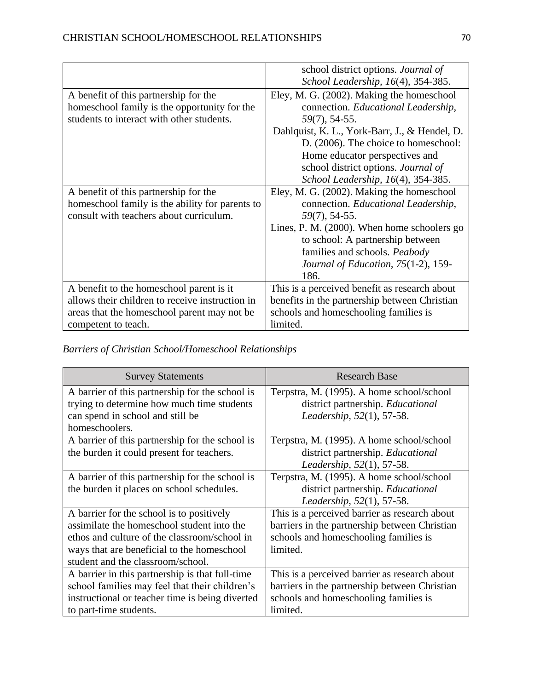|                                                 | school district options. Journal of           |
|-------------------------------------------------|-----------------------------------------------|
|                                                 | School Leadership, 16(4), 354-385.            |
| A benefit of this partnership for the           | Eley, M. G. (2002). Making the homeschool     |
| homes chool family is the opportunity for the   | connection. Educational Leadership,           |
| students to interact with other students.       | $59(7)$ , 54-55.                              |
|                                                 | Dahlquist, K. L., York-Barr, J., & Hendel, D. |
|                                                 | D. (2006). The choice to homeschool:          |
|                                                 | Home educator perspectives and                |
|                                                 | school district options. Journal of           |
|                                                 | School Leadership, 16(4), 354-385.            |
| A benefit of this partnership for the           | Eley, M. G. (2002). Making the homeschool     |
| homeschool family is the ability for parents to | connection. Educational Leadership,           |
| consult with teachers about curriculum.         | $59(7)$ , 54-55.                              |
|                                                 | Lines, P. M. (2000). When home schoolers go   |
|                                                 | to school: A partnership between              |
|                                                 | families and schools. Peabody                 |
|                                                 | Journal of Education, 75(1-2), 159-           |
|                                                 | 186.                                          |
| A benefit to the homeschool parent is it        | This is a perceived benefit as research about |
| allows their children to receive instruction in | benefits in the partnership between Christian |
| areas that the homeschool parent may not be     | schools and homeschooling families is         |
| competent to teach.                             | limited.                                      |

*Barriers of Christian School/Homeschool Relationships*

| <b>Survey Statements</b>                                                                                                                                                                                                   | <b>Research Base</b>                                                                                                                                |
|----------------------------------------------------------------------------------------------------------------------------------------------------------------------------------------------------------------------------|-----------------------------------------------------------------------------------------------------------------------------------------------------|
| A barrier of this partnership for the school is<br>trying to determine how much time students<br>can spend in school and still be<br>homeschoolers.                                                                        | Terpstra, M. (1995). A home school/school<br>district partnership. Educational<br>Leadership, 52(1), 57-58.                                         |
| A barrier of this partnership for the school is<br>the burden it could present for teachers.                                                                                                                               | Terpstra, M. (1995). A home school/school<br>district partnership. Educational<br>Leadership, 52(1), 57-58.                                         |
| A barrier of this partnership for the school is<br>the burden it places on school schedules.                                                                                                                               | Terpstra, M. (1995). A home school/school<br>district partnership. Educational<br>Leadership, 52(1), 57-58.                                         |
| A barrier for the school is to positively<br>assimilate the homeschool student into the<br>ethos and culture of the classroom/school in<br>ways that are beneficial to the homeschool<br>student and the classroom/school. | This is a perceived barrier as research about<br>barriers in the partnership between Christian<br>schools and homeschooling families is<br>limited. |
| A barrier in this partnership is that full-time<br>school families may feel that their children's<br>instructional or teacher time is being diverted<br>to part-time students.                                             | This is a perceived barrier as research about<br>barriers in the partnership between Christian<br>schools and homeschooling families is<br>limited. |